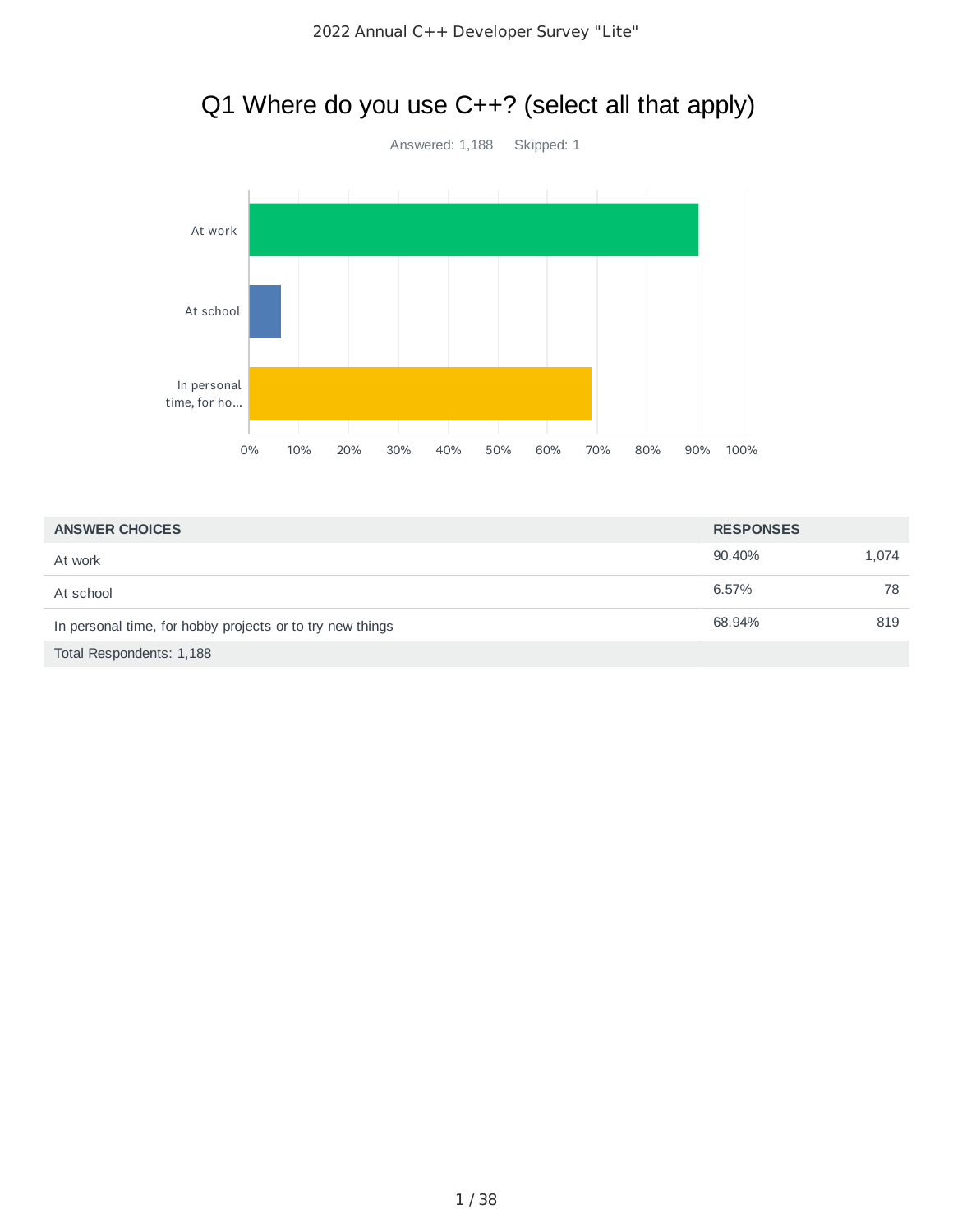# Q1 Where do you use C++? (select all that apply)



| <b>ANSWER CHOICES</b>                                     | <b>RESPONSES</b> |       |
|-----------------------------------------------------------|------------------|-------|
| At work                                                   | 90.40%           | 1,074 |
| At school                                                 | 6.57%            | 78    |
| In personal time, for hobby projects or to try new things | 68.94%           | 819   |
| Total Respondents: 1,188                                  |                  |       |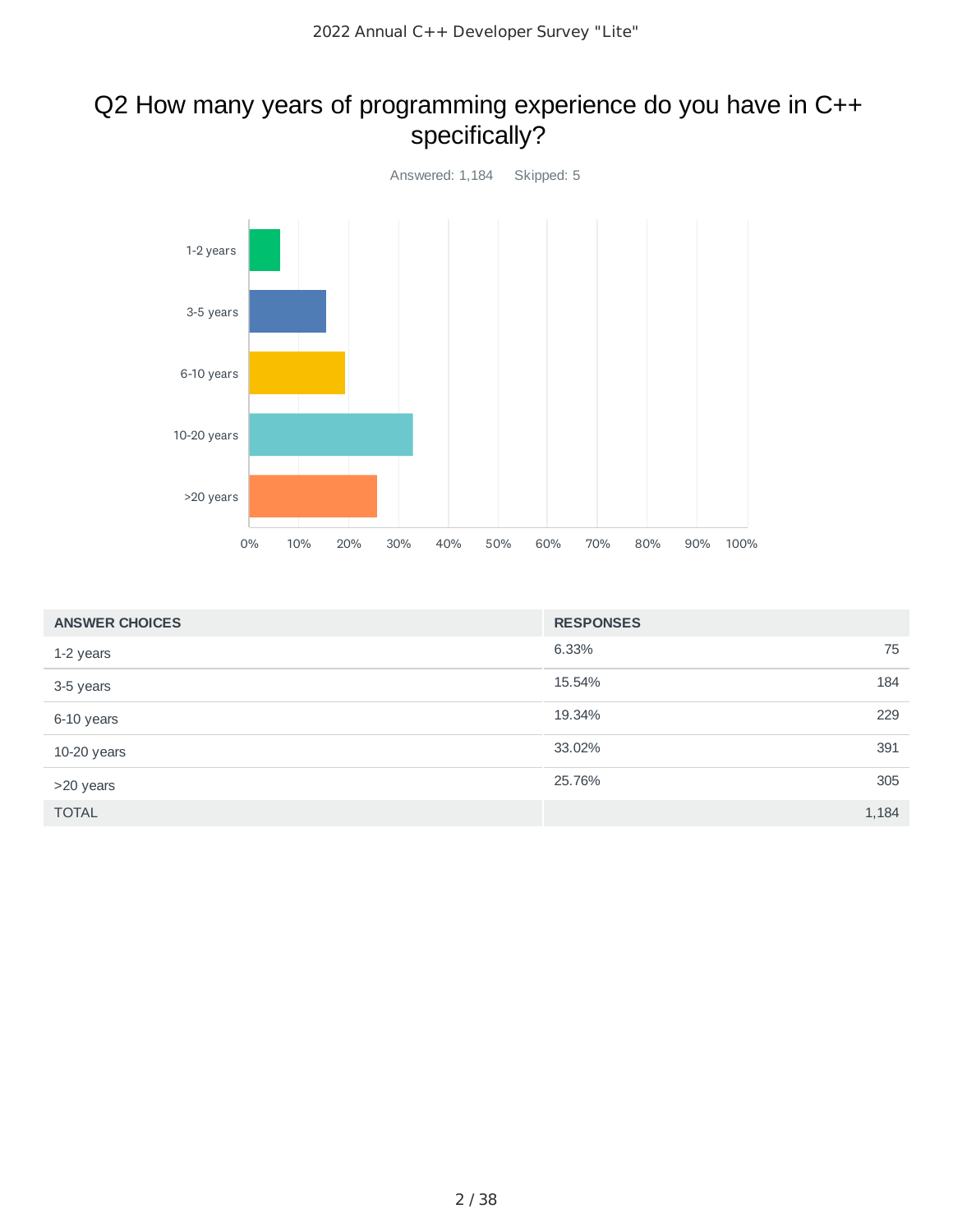### Q2 How many years of programming experience do you have in C++ specifically?



| <b>ANSWER CHOICES</b> | <b>RESPONSES</b> |       |
|-----------------------|------------------|-------|
| 1-2 years             | 6.33%            | 75    |
| 3-5 years             | 15.54%           | 184   |
| 6-10 years            | 19.34%           | 229   |
| 10-20 years           | 33.02%           | 391   |
| >20 years             | 25.76%           | 305   |
| <b>TOTAL</b>          |                  | 1,184 |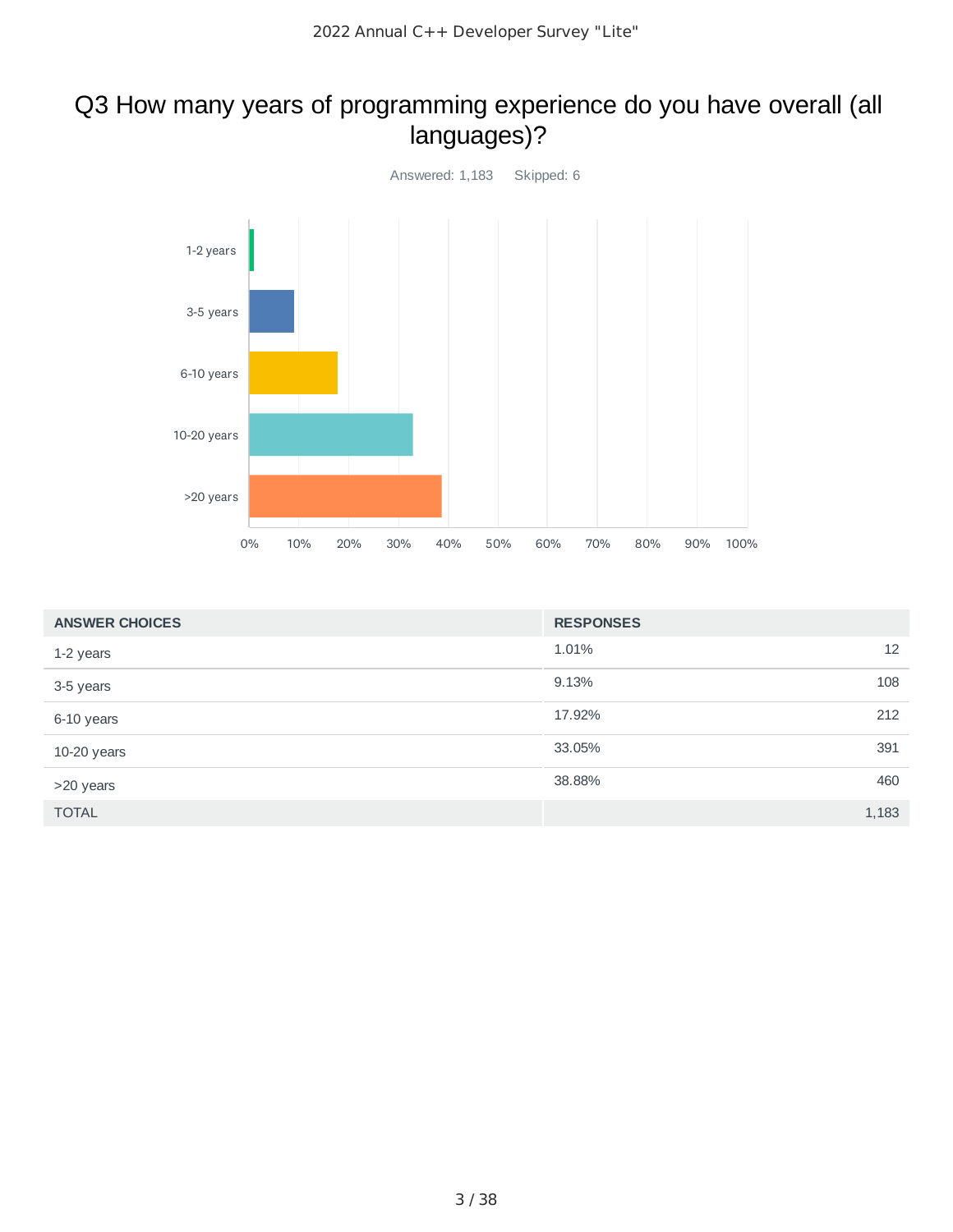### Q3 How many years of programming experience do you have overall (all languages)?



| <b>ANSWER CHOICES</b> | <b>RESPONSES</b> |       |
|-----------------------|------------------|-------|
| 1-2 years             | 1.01%            | 12    |
| 3-5 years             | 9.13%            | 108   |
| 6-10 years            | 17.92%           | 212   |
| 10-20 years           | 33.05%           | 391   |
| >20 years             | 38.88%           | 460   |
| <b>TOTAL</b>          |                  | 1,183 |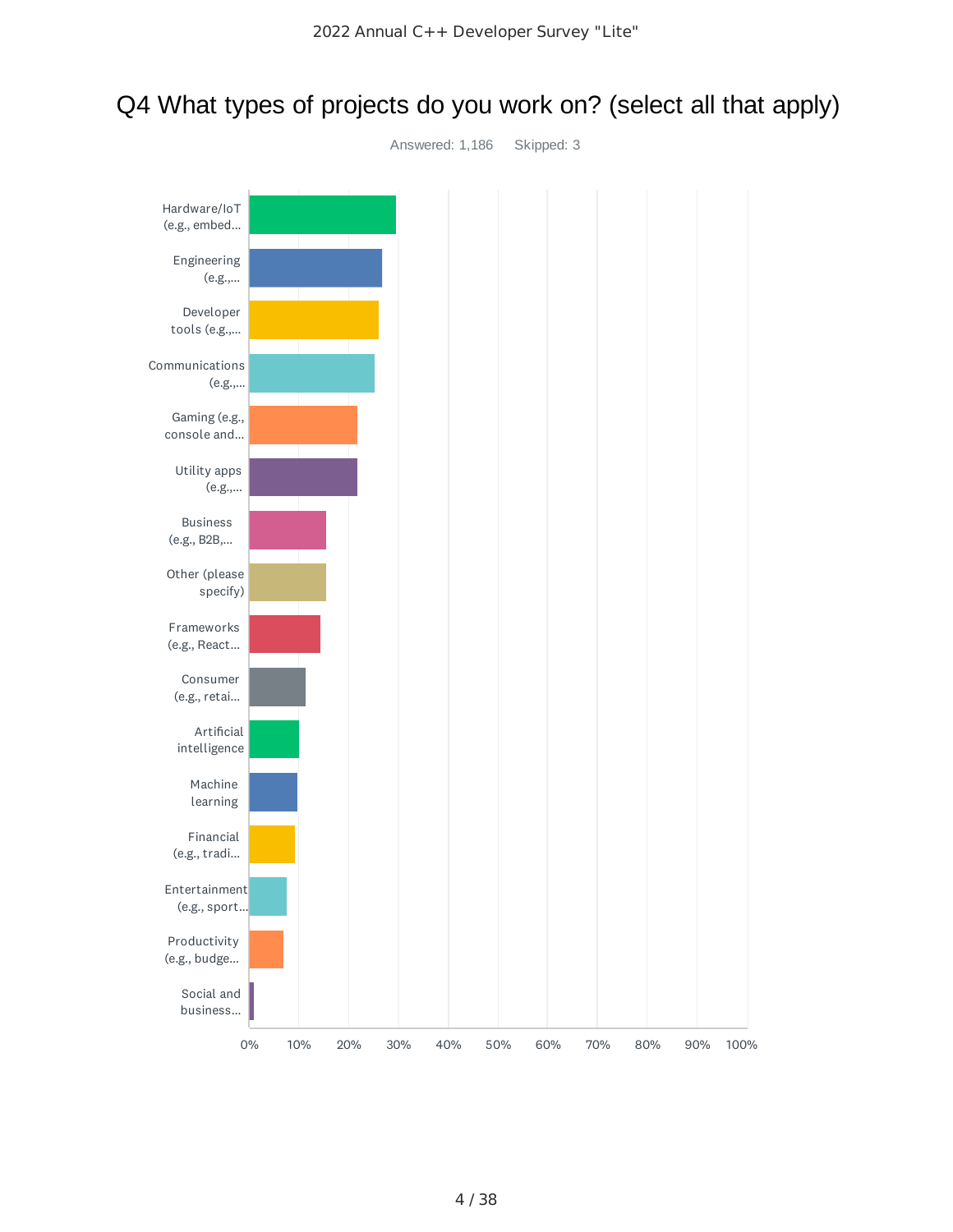# Q4 What types of projects do you work on? (select all that apply)

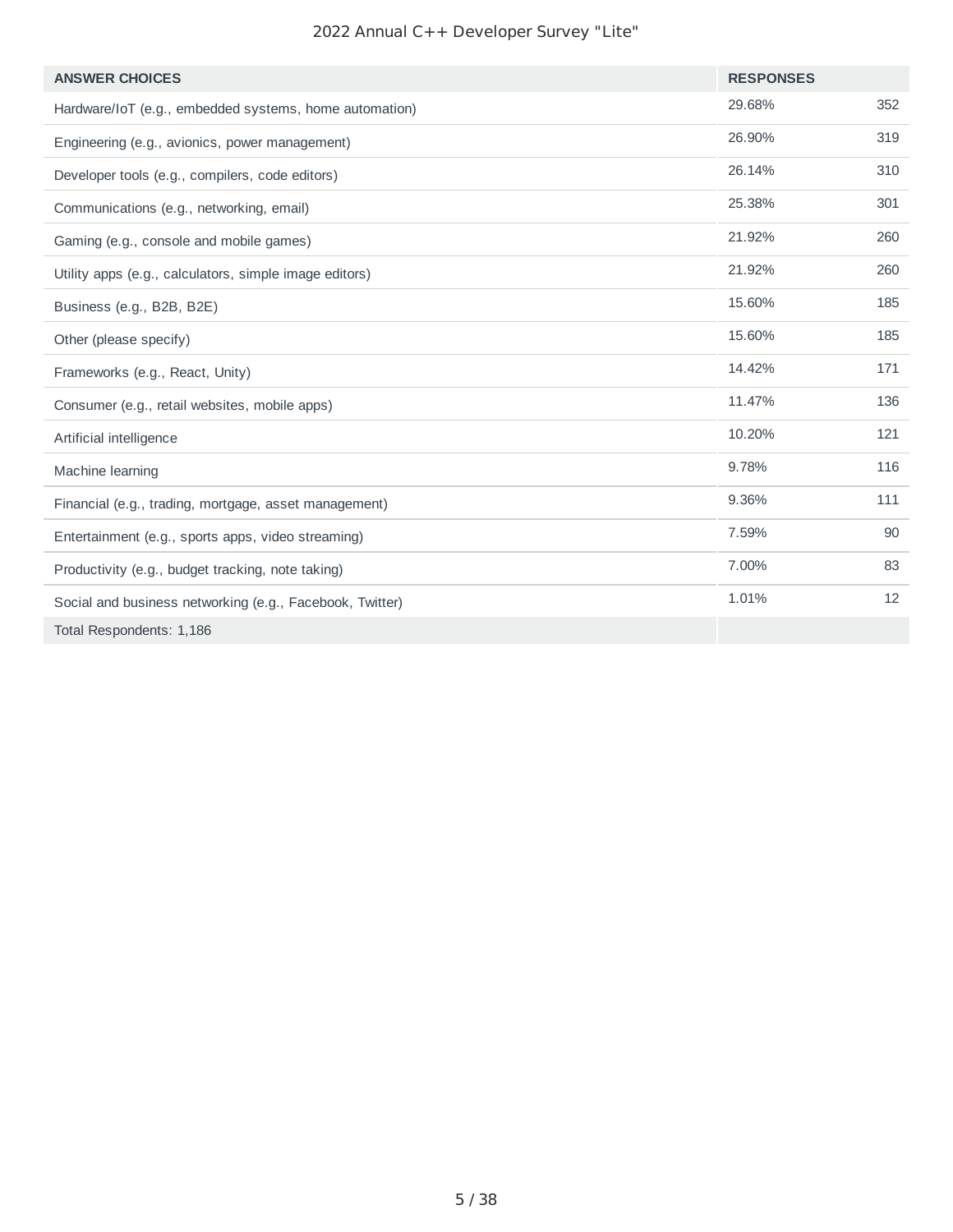| <b>ANSWER CHOICES</b>                                    | <b>RESPONSES</b> |     |
|----------------------------------------------------------|------------------|-----|
| Hardware/IoT (e.g., embedded systems, home automation)   | 29.68%           | 352 |
| Engineering (e.g., avionics, power management)           | 26.90%           | 319 |
| Developer tools (e.g., compilers, code editors)          | 26.14%           | 310 |
| Communications (e.g., networking, email)                 | 25.38%           | 301 |
| Gaming (e.g., console and mobile games)                  | 21.92%           | 260 |
| Utility apps (e.g., calculators, simple image editors)   | 21.92%           | 260 |
| Business (e.g., B2B, B2E)                                | 15.60%           | 185 |
| Other (please specify)                                   | 15.60%           | 185 |
| Frameworks (e.g., React, Unity)                          | 14.42%           | 171 |
| Consumer (e.g., retail websites, mobile apps)            | 11.47%           | 136 |
| Artificial intelligence                                  | 10.20%           | 121 |
| Machine learning                                         | 9.78%            | 116 |
| Financial (e.g., trading, mortgage, asset management)    | 9.36%            | 111 |
| Entertainment (e.g., sports apps, video streaming)       | 7.59%            | 90  |
| Productivity (e.g., budget tracking, note taking)        | 7.00%            | 83  |
| Social and business networking (e.g., Facebook, Twitter) | 1.01%            | 12  |
| Total Respondents: 1,186                                 |                  |     |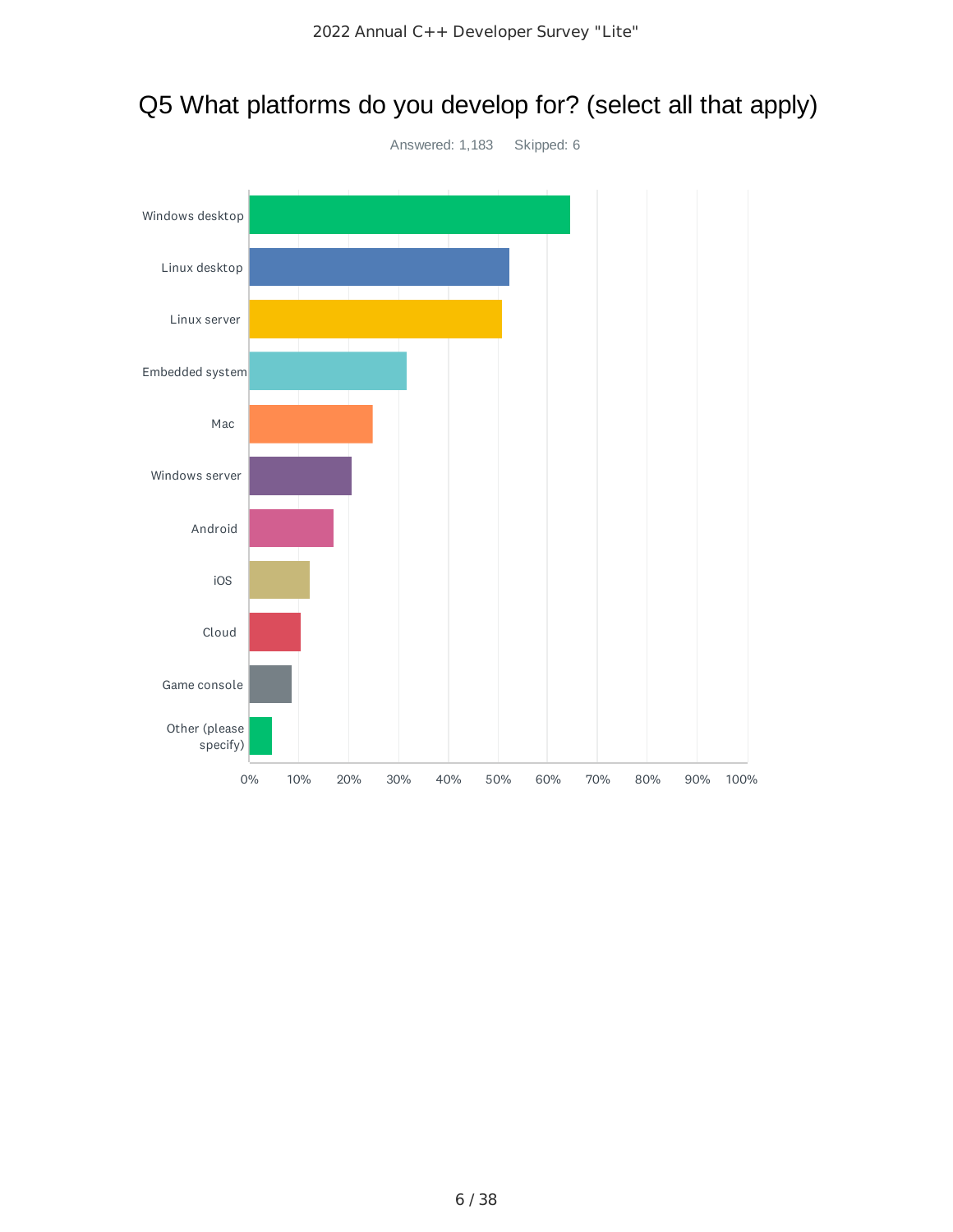

# Q5 What platforms do you develop for? (select all that apply)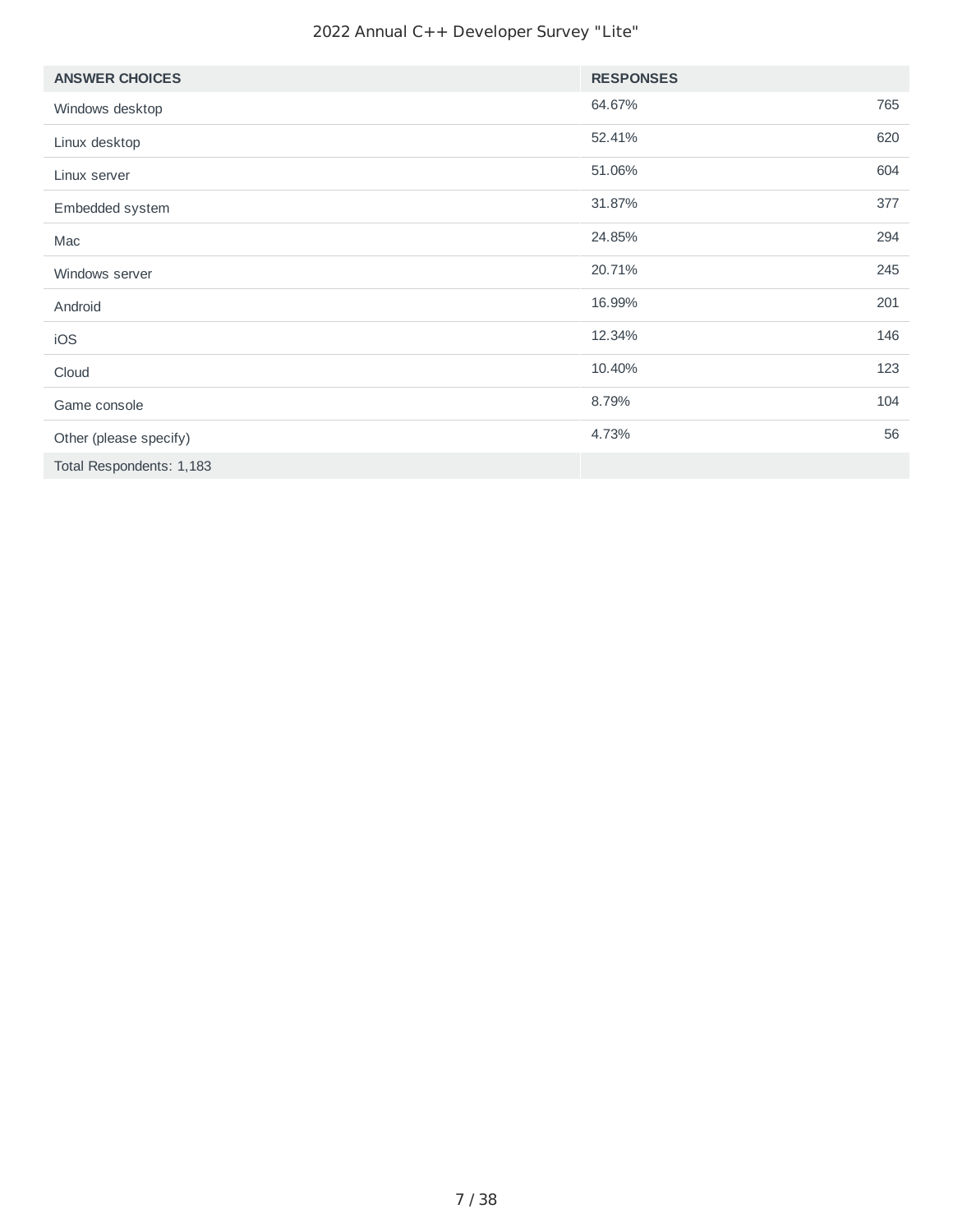| <b>ANSWER CHOICES</b>    | <b>RESPONSES</b> |     |
|--------------------------|------------------|-----|
| Windows desktop          | 64.67%           | 765 |
| Linux desktop            | 52.41%           | 620 |
| Linux server             | 51.06%           | 604 |
| Embedded system          | 31.87%           | 377 |
| Mac                      | 24.85%           | 294 |
| Windows server           | 20.71%           | 245 |
| Android                  | 16.99%           | 201 |
| iOS                      | 12.34%           | 146 |
| Cloud                    | 10.40%           | 123 |
| Game console             | 8.79%            | 104 |
| Other (please specify)   | 4.73%            | 56  |
| Total Respondents: 1,183 |                  |     |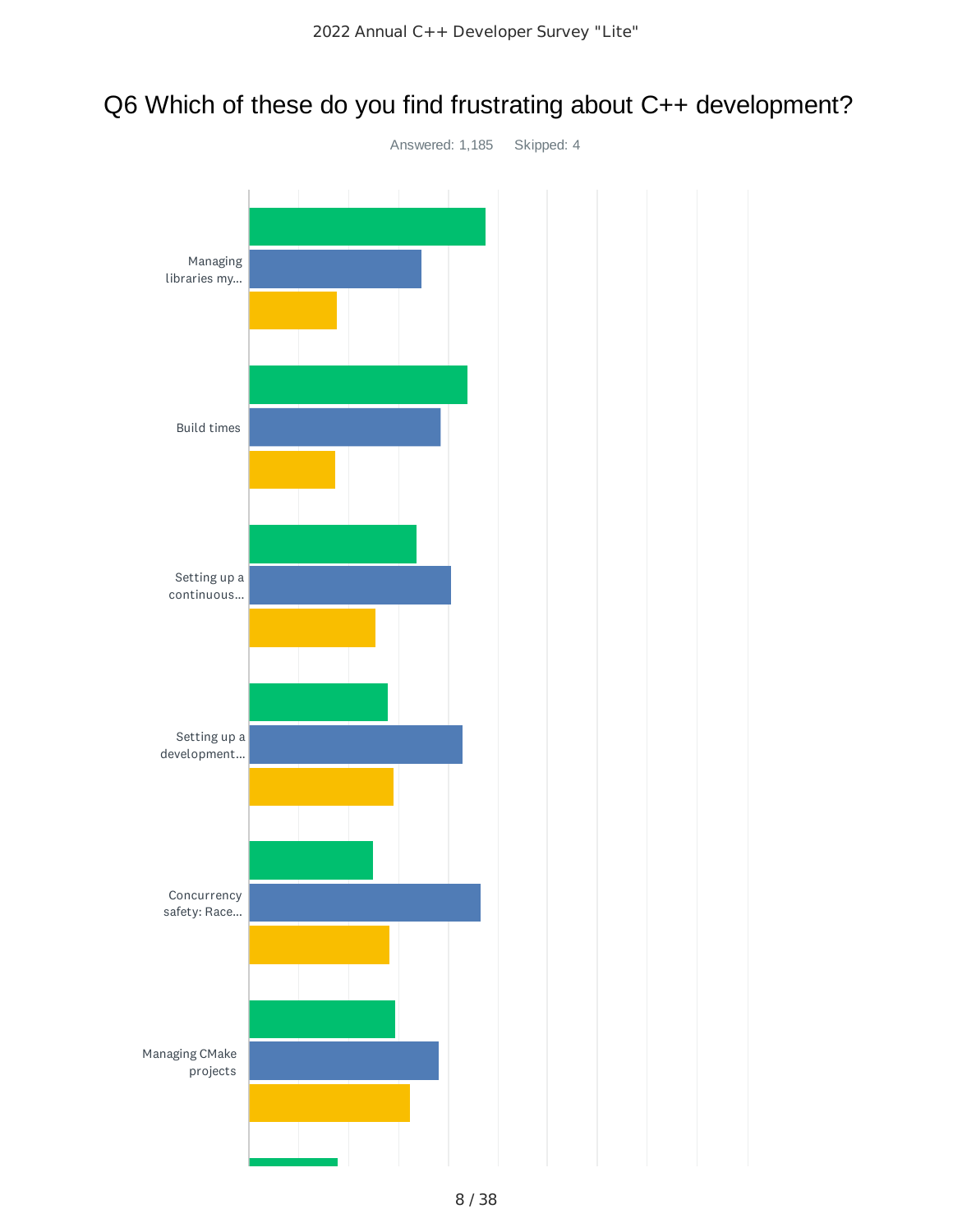# Q6 Which of these do you find frustrating about C++ development?

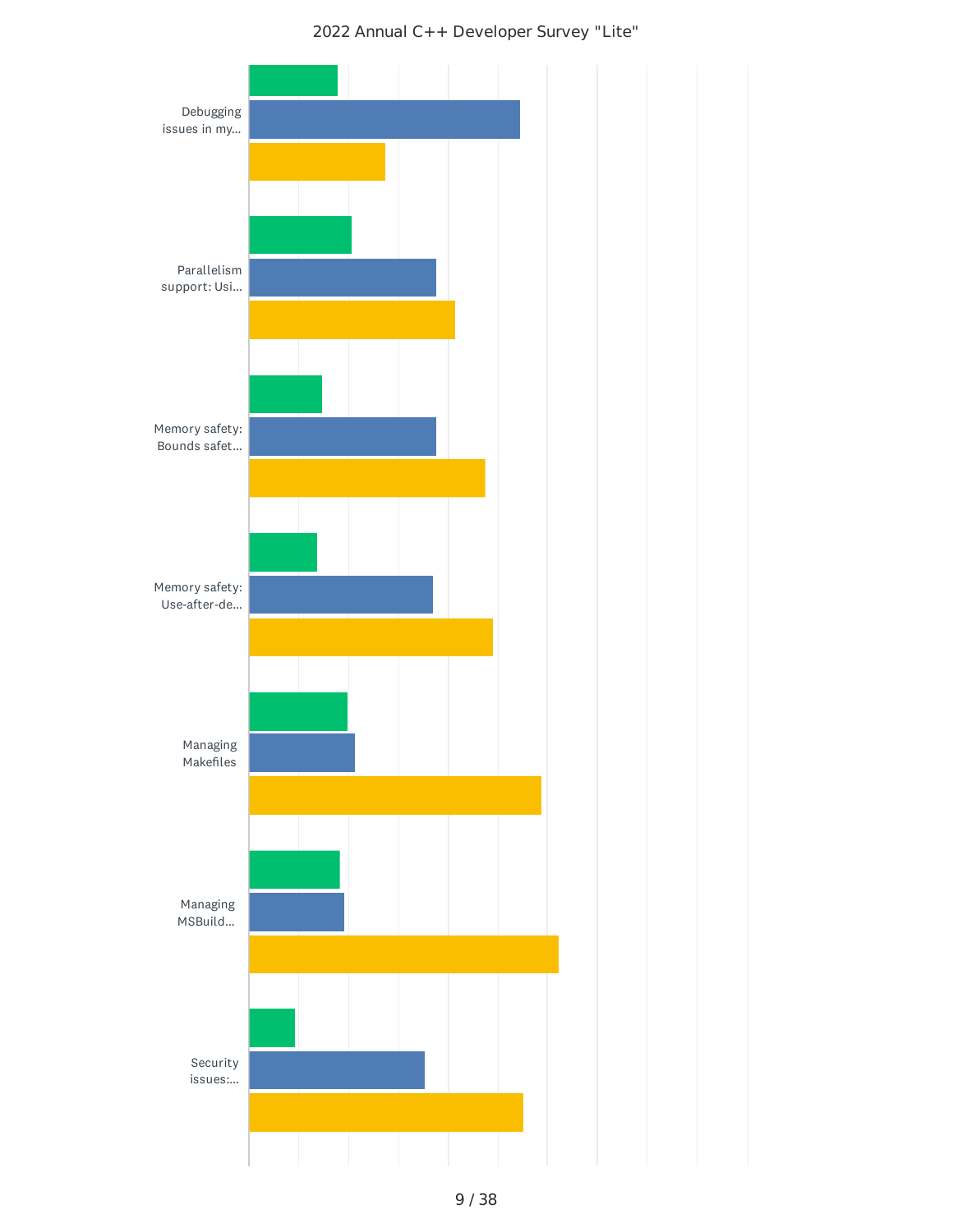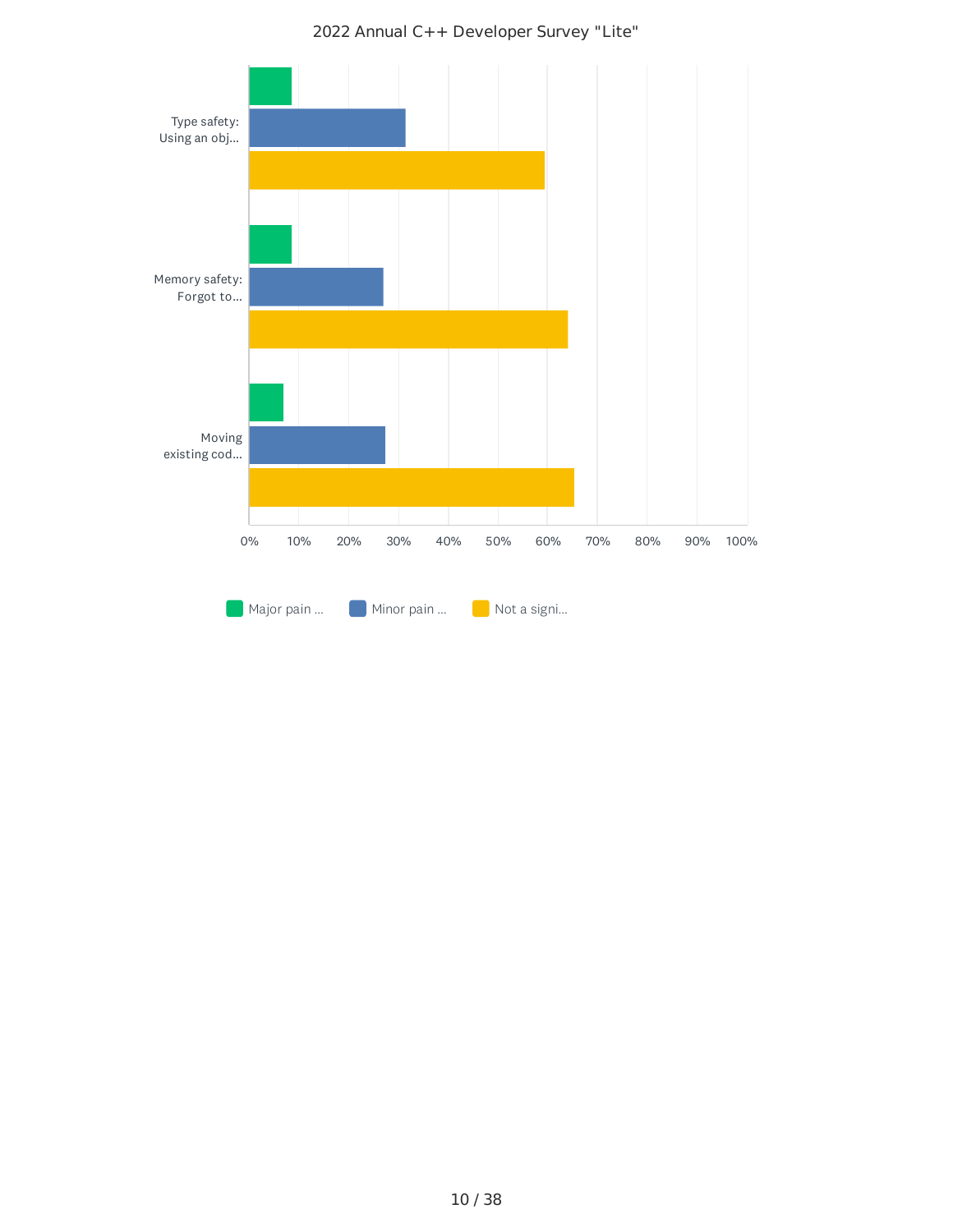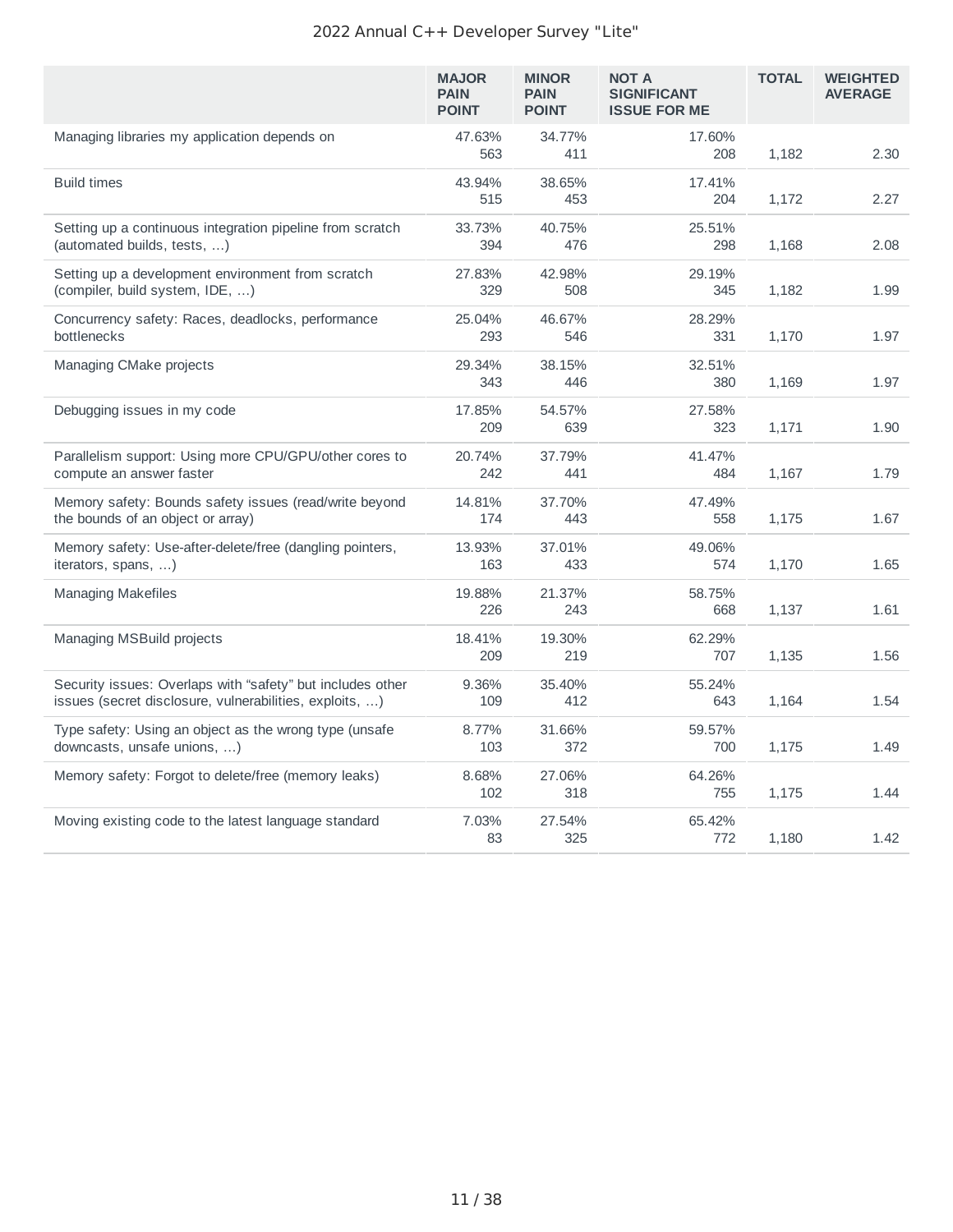|                                                                                                                       | <b>MAJOR</b><br><b>PAIN</b><br><b>POINT</b> | <b>MINOR</b><br><b>PAIN</b><br><b>POINT</b> | <b>NOT A</b><br><b>SIGNIFICANT</b><br><b>ISSUE FOR ME</b> | <b>TOTAL</b> | <b>WEIGHTED</b><br><b>AVERAGE</b> |
|-----------------------------------------------------------------------------------------------------------------------|---------------------------------------------|---------------------------------------------|-----------------------------------------------------------|--------------|-----------------------------------|
| Managing libraries my application depends on                                                                          | 47.63%<br>563                               | 34.77%<br>411                               | 17.60%<br>208                                             | 1,182        | 2.30                              |
| <b>Build times</b>                                                                                                    | 43.94%<br>515                               | 38.65%<br>453                               | 17.41%<br>204                                             | 1,172        | 2.27                              |
| Setting up a continuous integration pipeline from scratch<br>(automated builds, tests, )                              | 33.73%<br>394                               | 40.75%<br>476                               | 25.51%<br>298                                             | 1,168        | 2.08                              |
| Setting up a development environment from scratch<br>(compiler, build system, IDE, )                                  | 27.83%<br>329                               | 42.98%<br>508                               | 29.19%<br>345                                             | 1,182        | 1.99                              |
| Concurrency safety: Races, deadlocks, performance<br>bottlenecks                                                      | 25.04%<br>293                               | 46.67%<br>546                               | 28.29%<br>331                                             | 1,170        | 1.97                              |
| Managing CMake projects                                                                                               | 29.34%<br>343                               | 38.15%<br>446                               | 32.51%<br>380                                             | 1,169        | 1.97                              |
| Debugging issues in my code                                                                                           | 17.85%<br>209                               | 54.57%<br>639                               | 27.58%<br>323                                             | 1,171        | 1.90                              |
| Parallelism support: Using more CPU/GPU/other cores to<br>compute an answer faster                                    | 20.74%<br>242                               | 37.79%<br>441                               | 41.47%<br>484                                             | 1,167        | 1.79                              |
| Memory safety: Bounds safety issues (read/write beyond<br>the bounds of an object or array)                           | 14.81%<br>174                               | 37.70%<br>443                               | 47.49%<br>558                                             | 1,175        | 1.67                              |
| Memory safety: Use-after-delete/free (dangling pointers,<br>iterators, spans, )                                       | 13.93%<br>163                               | 37.01%<br>433                               | 49.06%<br>574                                             | 1,170        | 1.65                              |
| <b>Managing Makefiles</b>                                                                                             | 19.88%<br>226                               | 21.37%<br>243                               | 58.75%<br>668                                             | 1,137        | 1.61                              |
| Managing MSBuild projects                                                                                             | 18.41%<br>209                               | 19.30%<br>219                               | 62.29%<br>707                                             | 1,135        | 1.56                              |
| Security issues: Overlaps with "safety" but includes other<br>issues (secret disclosure, vulnerabilities, exploits, ) | 9.36%<br>109                                | 35.40%<br>412                               | 55.24%<br>643                                             | 1,164        | 1.54                              |
| Type safety: Using an object as the wrong type (unsafe<br>downcasts, unsafe unions, )                                 | 8.77%<br>103                                | 31.66%<br>372                               | 59.57%<br>700                                             | 1,175        | 1.49                              |
| Memory safety: Forgot to delete/free (memory leaks)                                                                   | 8.68%<br>102                                | 27.06%<br>318                               | 64.26%<br>755                                             | 1,175        | 1.44                              |
| Moving existing code to the latest language standard                                                                  | 7.03%<br>83                                 | 27.54%<br>325                               | 65.42%<br>772                                             | 1,180        | 1.42                              |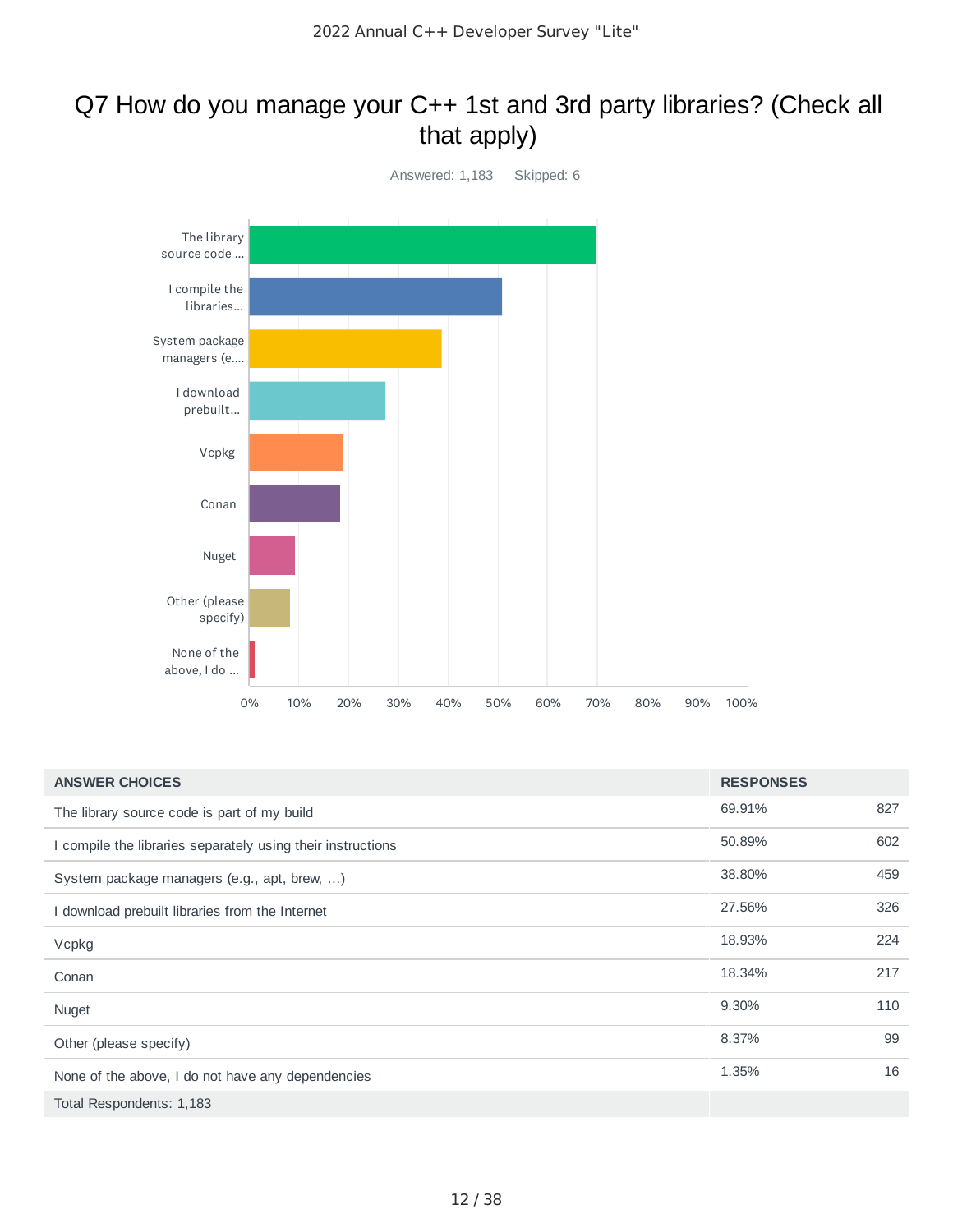### Q7 How do you manage your C++ 1st and 3rd party libraries? (Check all that apply)



| <b>ANSWER CHOICES</b>                                       | <b>RESPONSES</b> |     |
|-------------------------------------------------------------|------------------|-----|
| The library source code is part of my build                 | 69.91%           | 827 |
| I compile the libraries separately using their instructions | 50.89%           | 602 |
| System package managers (e.g., apt, brew, )                 | 38.80%           | 459 |
| I download prebuilt libraries from the Internet             | 27.56%           | 326 |
| Vcpkg                                                       | 18.93%           | 224 |
| Conan                                                       | 18.34%           | 217 |
| Nuget                                                       | 9.30%            | 110 |
| Other (please specify)                                      | 8.37%            | 99  |
| None of the above, I do not have any dependencies           | 1.35%            | 16  |
| Total Respondents: 1,183                                    |                  |     |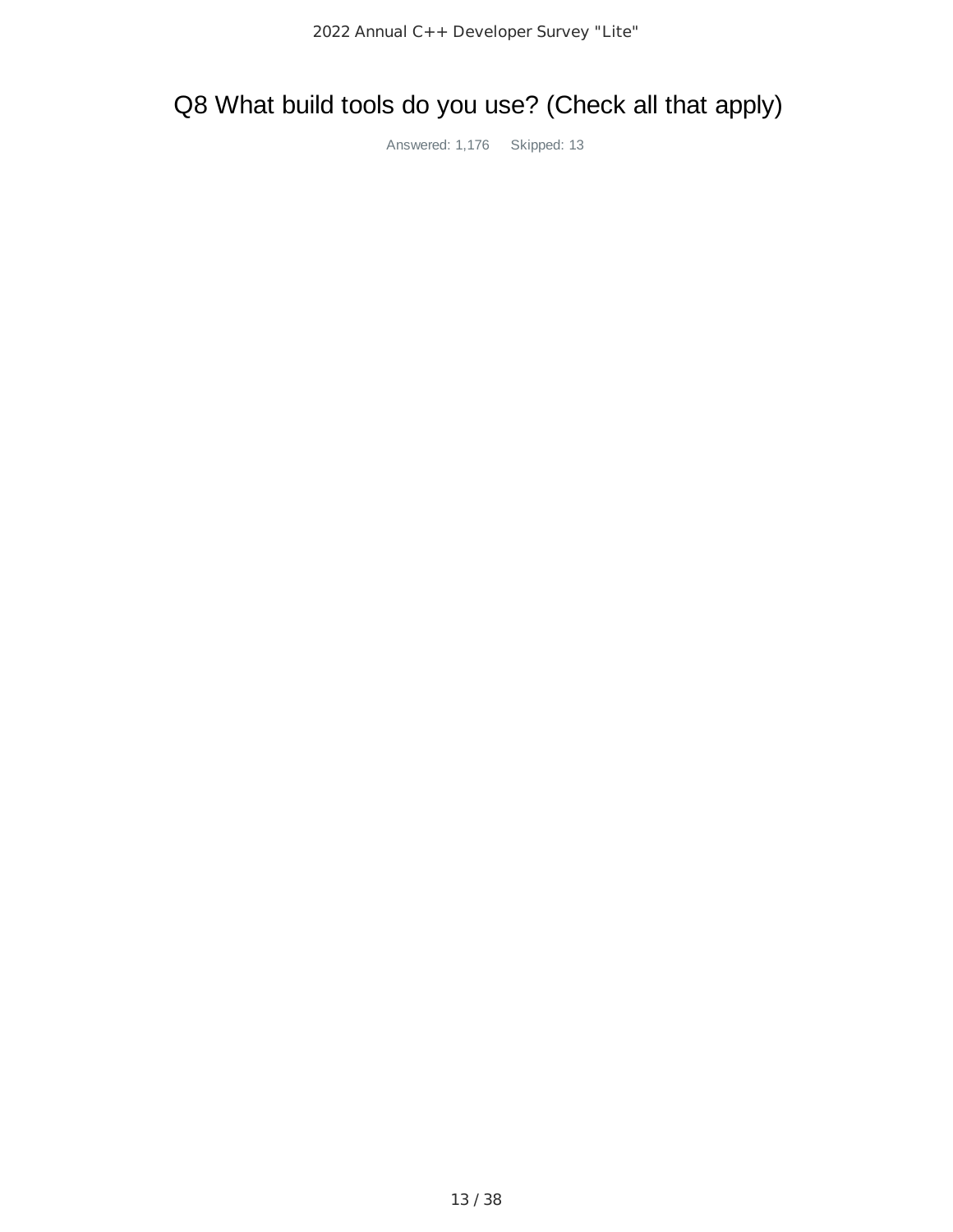# Q8 What build tools do you use? (Check all that apply)

Answered: 1,176 Skipped: 13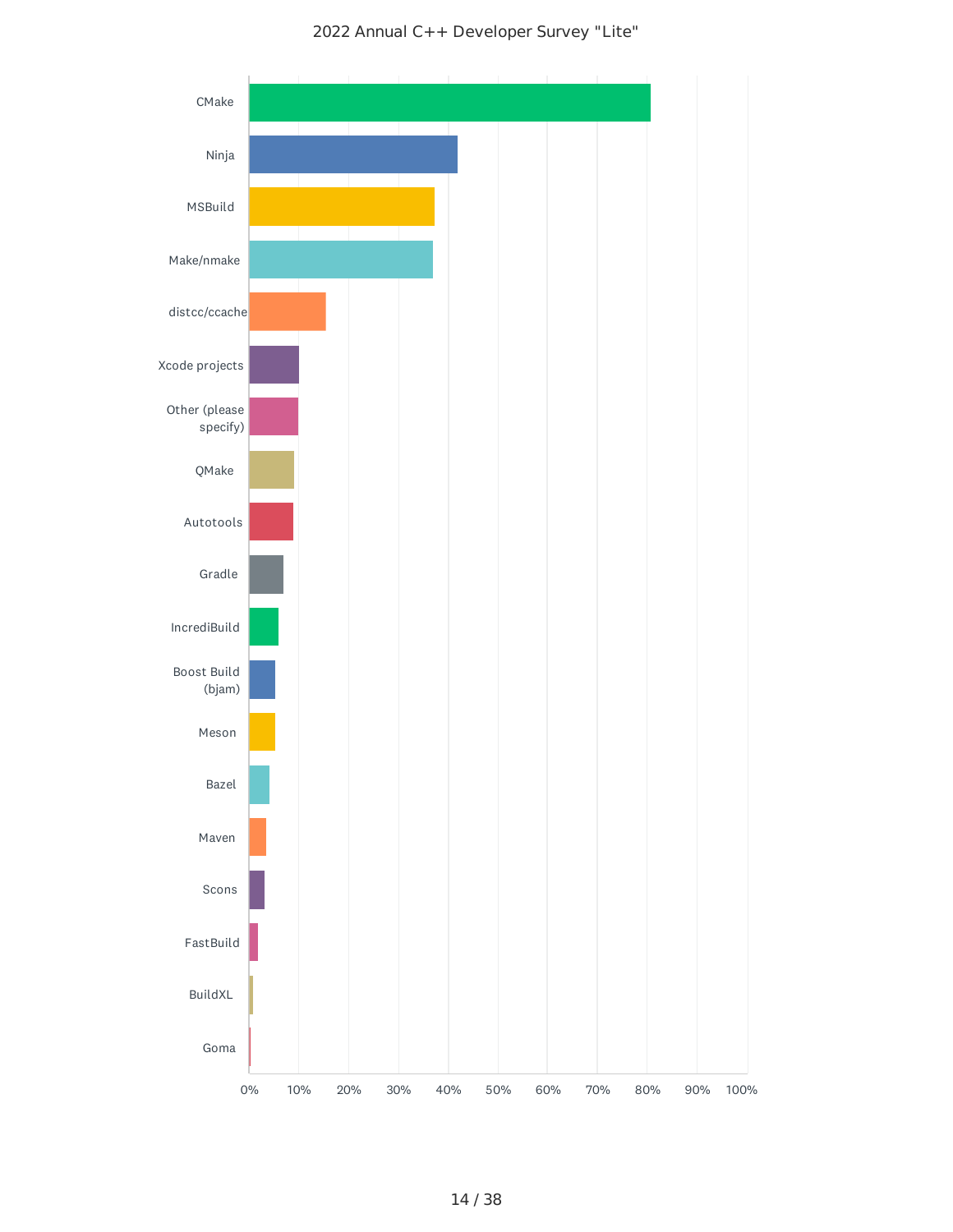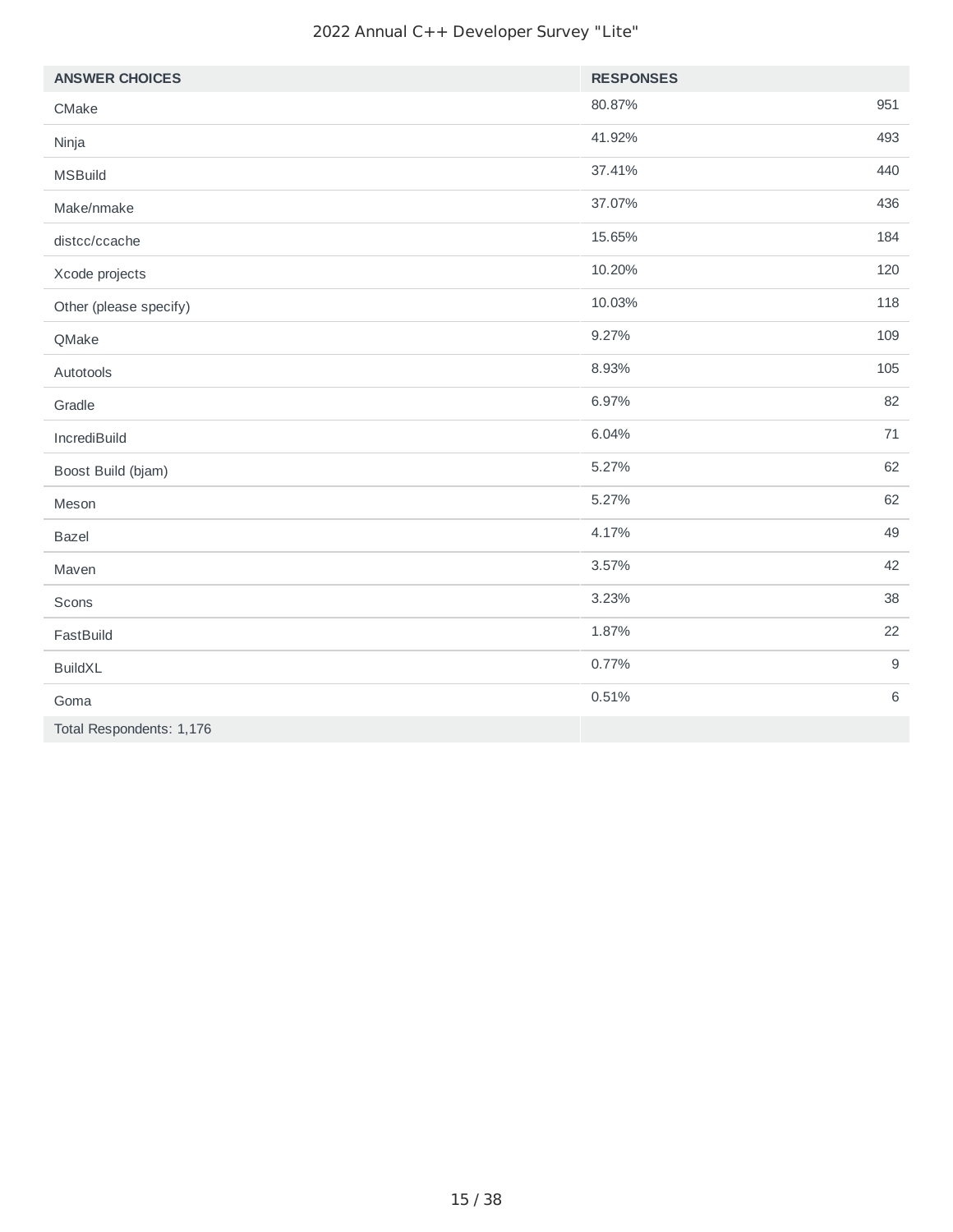| <b>ANSWER CHOICES</b>    | <b>RESPONSES</b> |     |
|--------------------------|------------------|-----|
| CMake                    | 80.87%           | 951 |
| Ninja                    | 41.92%           | 493 |
| <b>MSBuild</b>           | 37.41%           | 440 |
| Make/nmake               | 37.07%           | 436 |
| distcc/ccache            | 15.65%           | 184 |
| Xcode projects           | 10.20%           | 120 |
| Other (please specify)   | 10.03%           | 118 |
| QMake                    | 9.27%            | 109 |
| Autotools                | 8.93%            | 105 |
| Gradle                   | 6.97%            | 82  |
| IncrediBuild             | 6.04%            | 71  |
| Boost Build (bjam)       | 5.27%            | 62  |
| Meson                    | 5.27%            | 62  |
| <b>Bazel</b>             | 4.17%            | 49  |
| Maven                    | 3.57%            | 42  |
| Scons                    | 3.23%            | 38  |
| FastBuild                | 1.87%            | 22  |
| <b>BuildXL</b>           | 0.77%            | $9$ |
| Goma                     | 0.51%            | 6   |
| Total Respondents: 1,176 |                  |     |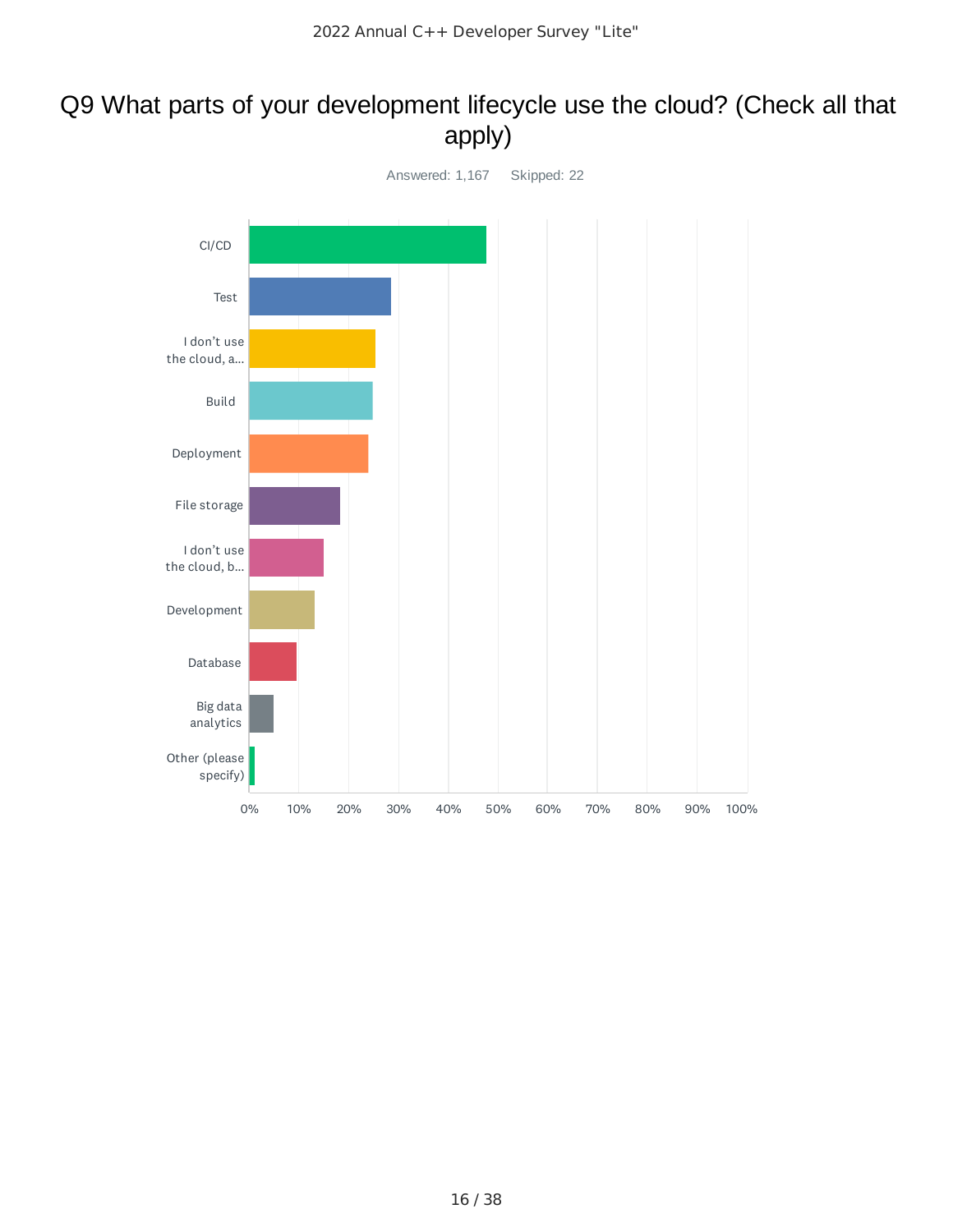### Q9 What parts of your development lifecycle use the cloud? (Check all that apply)

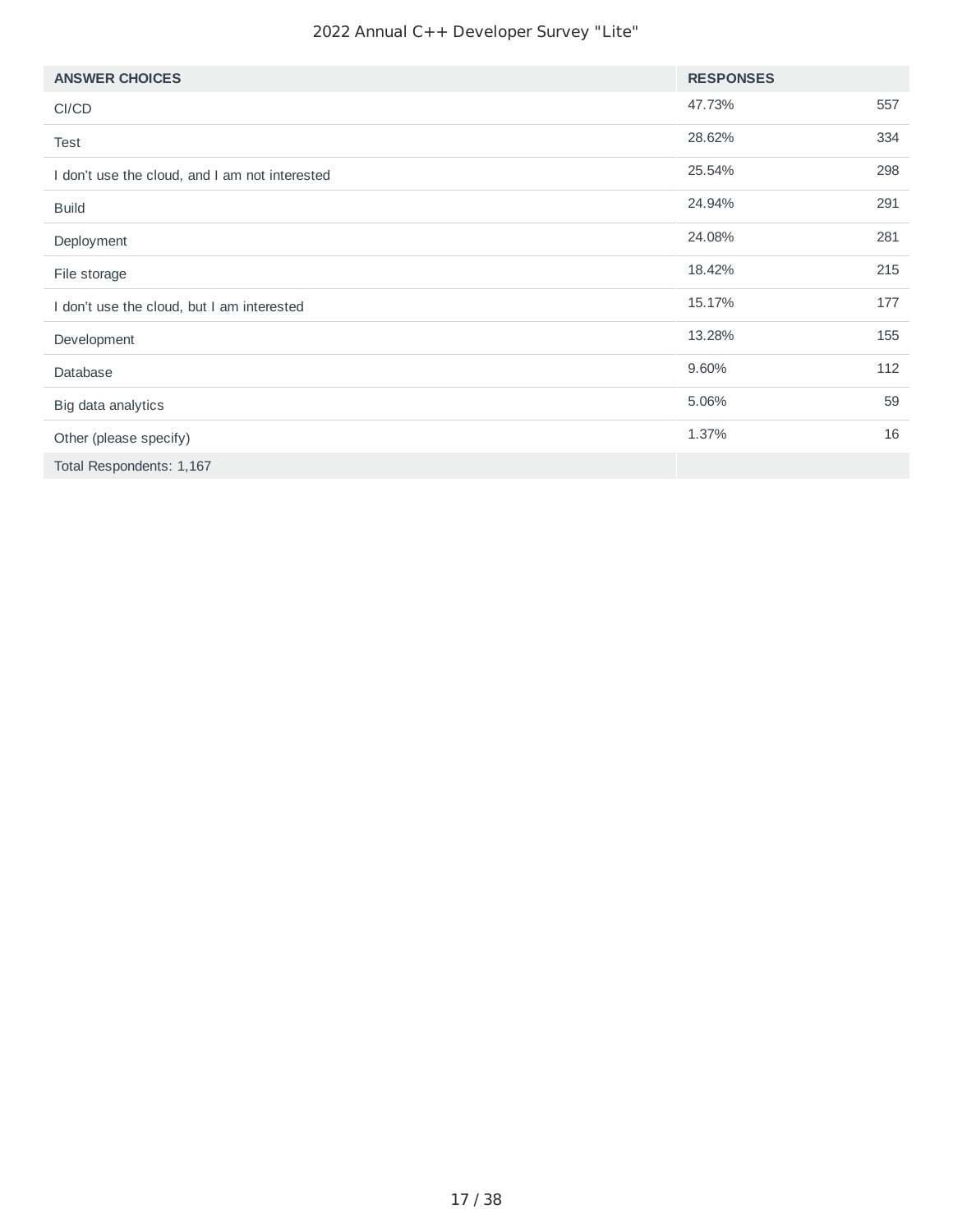| <b>ANSWER CHOICES</b>                          | <b>RESPONSES</b> |     |
|------------------------------------------------|------------------|-----|
| CI/CD                                          | 47.73%           | 557 |
| Test                                           | 28.62%           | 334 |
| I don't use the cloud, and I am not interested | 25.54%           | 298 |
| <b>Build</b>                                   | 24.94%           | 291 |
| Deployment                                     | 24.08%           | 281 |
| File storage                                   | 18.42%           | 215 |
| I don't use the cloud, but I am interested     | 15.17%           | 177 |
| Development                                    | 13.28%           | 155 |
| Database                                       | 9.60%            | 112 |
| Big data analytics                             | 5.06%            | 59  |
| Other (please specify)                         | 1.37%            | 16  |
| Total Respondents: 1,167                       |                  |     |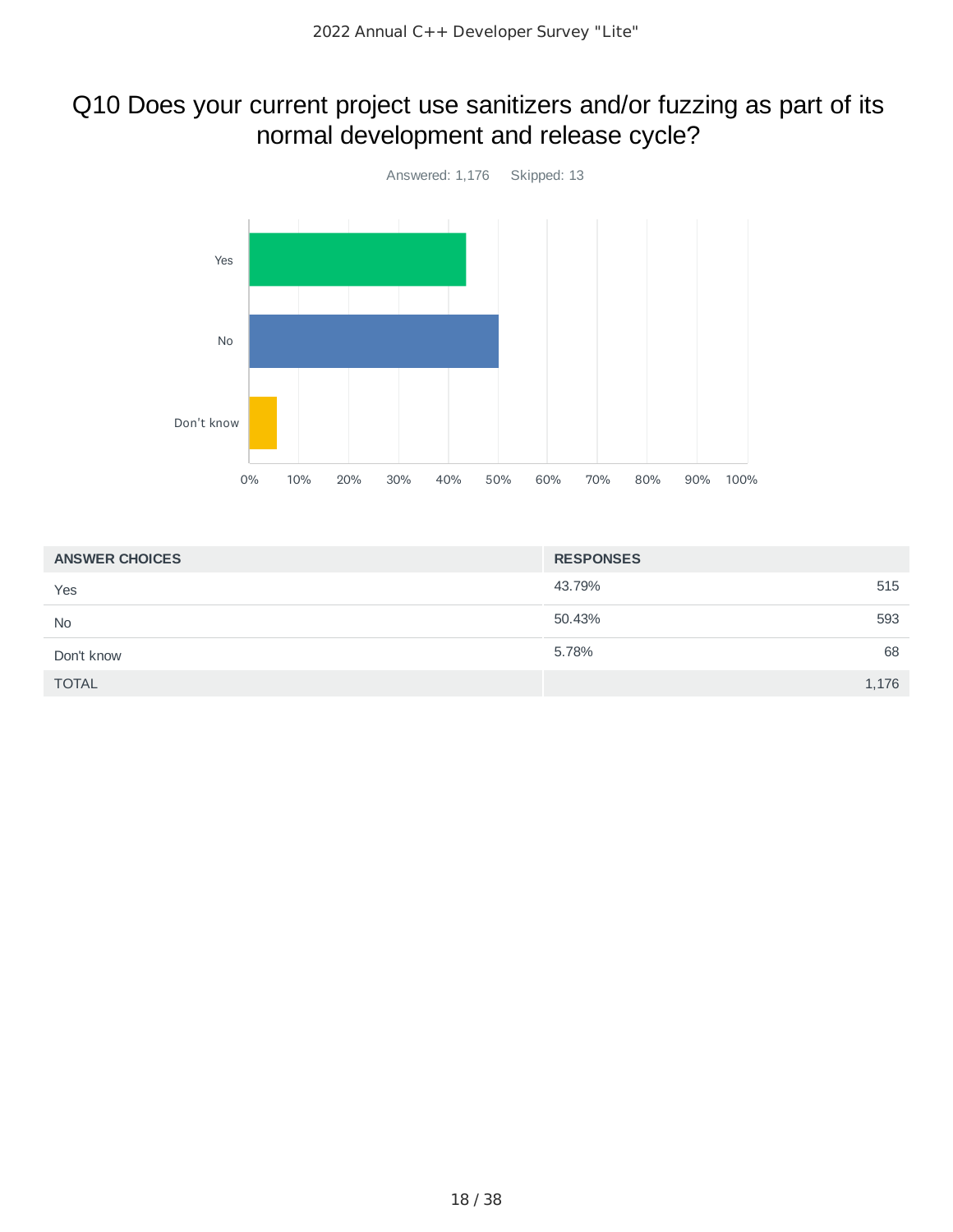# Q10 Does your current project use sanitizers and/or fuzzing as part of its normal development and release cycle?



| <b>ANSWER CHOICES</b> | <b>RESPONSES</b> |       |
|-----------------------|------------------|-------|
| Yes                   | 43.79%           | 515   |
| <b>No</b>             | 50.43%           | 593   |
| Don't know            | 5.78%            | 68    |
| <b>TOTAL</b>          |                  | 1,176 |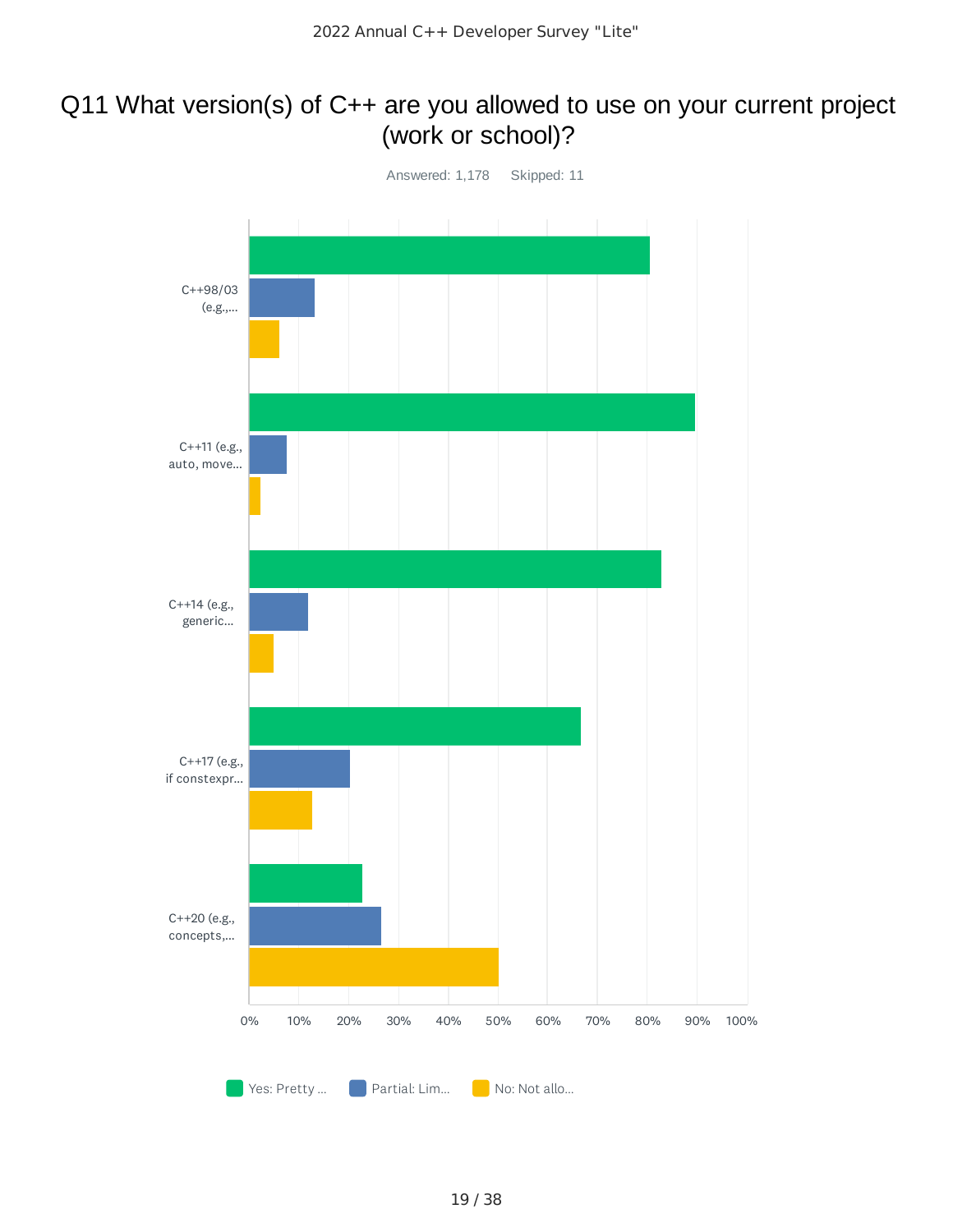### Q11 What version(s) of C++ are you allowed to use on your current project (work or school)?

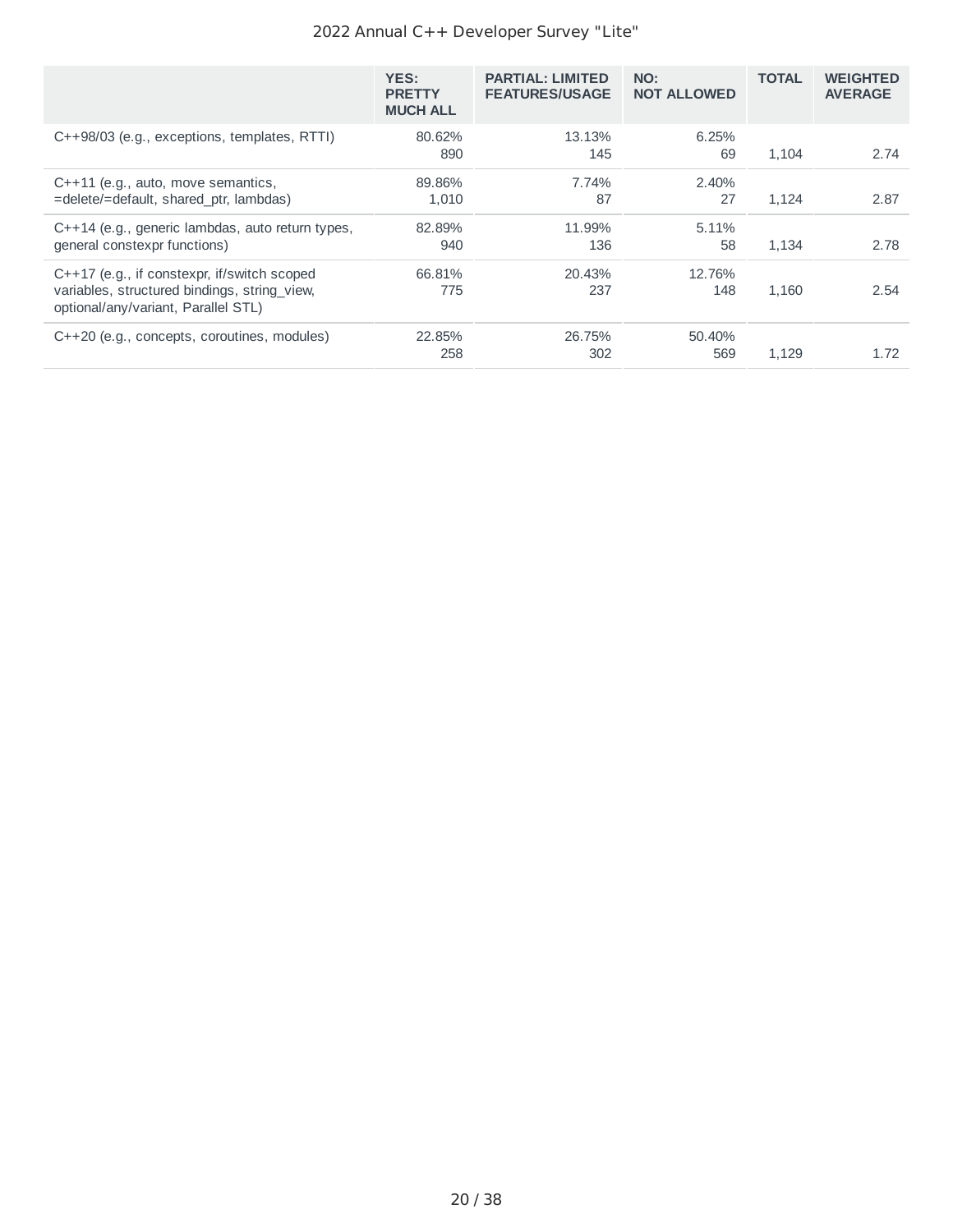|                                                                                                                                      | YES:<br><b>PRETTY</b><br><b>MUCH ALL</b> | <b>PARTIAL: LIMITED</b><br><b>FEATURES/USAGE</b> | NO:<br><b>NOT ALLOWED</b> | <b>TOTAL</b> | <b>WEIGHTED</b><br><b>AVERAGE</b> |
|--------------------------------------------------------------------------------------------------------------------------------------|------------------------------------------|--------------------------------------------------|---------------------------|--------------|-----------------------------------|
| C++98/03 (e.g., exceptions, templates, RTTI)                                                                                         | 80.62%<br>890                            | 13.13%<br>145                                    | 6.25%<br>69               | 1.104        | 2.74                              |
| C++11 (e.g., auto, move semantics,<br>=delete/=default, shared ptr, lambdas)                                                         | 89.86%<br>1.010                          | 7.74%<br>87                                      | 2.40%<br>27               | 1.124        | 2.87                              |
| C++14 (e.g., generic lambdas, auto return types,<br>general constexpr functions)                                                     | 82.89%<br>940                            | 11.99%<br>136                                    | 5.11%<br>58               | 1.134        | 2.78                              |
| $C++17$ (e.g., if constexpr, if/switch scoped<br>variables, structured bindings, string view,<br>optional/any/variant, Parallel STL) | 66.81%<br>775                            | 20.43%<br>237                                    | 12.76%<br>148             | 1.160        | 2.54                              |
| C++20 (e.g., concepts, coroutines, modules)                                                                                          | 22.85%<br>258                            | 26.75%<br>302                                    | 50.40%<br>569             | 1.129        | 1.72                              |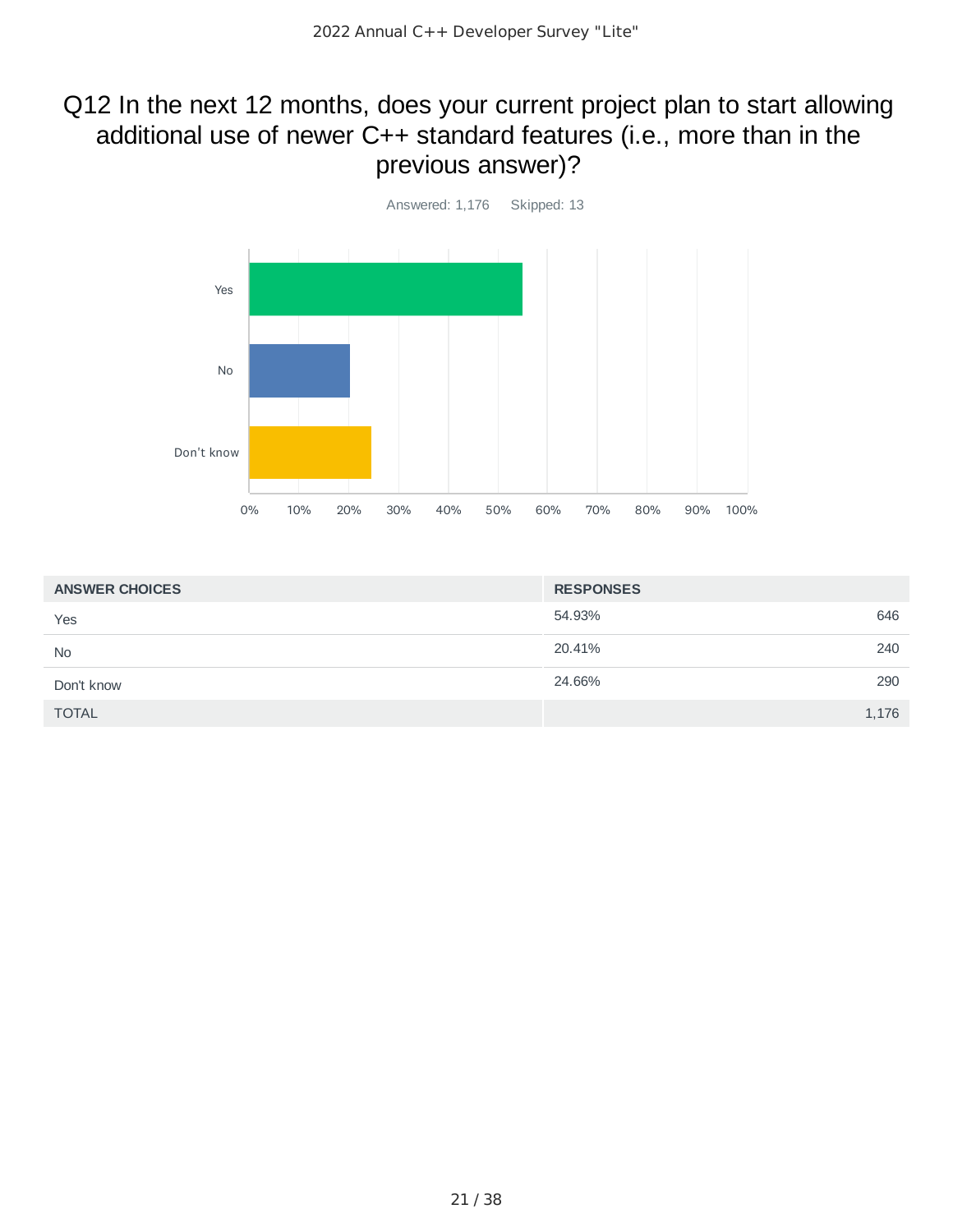### Q12 In the next 12 months, does your current project plan to start allowing additional use of newer C++ standard features (i.e., more than in the previous answer)?



| <b>ANSWER CHOICES</b> | <b>RESPONSES</b> |
|-----------------------|------------------|
| Yes                   | 646<br>54.93%    |
| <b>No</b>             | 20.41%<br>240    |
| Don't know            | 24.66%<br>290    |
| <b>TOTAL</b>          | 1,176            |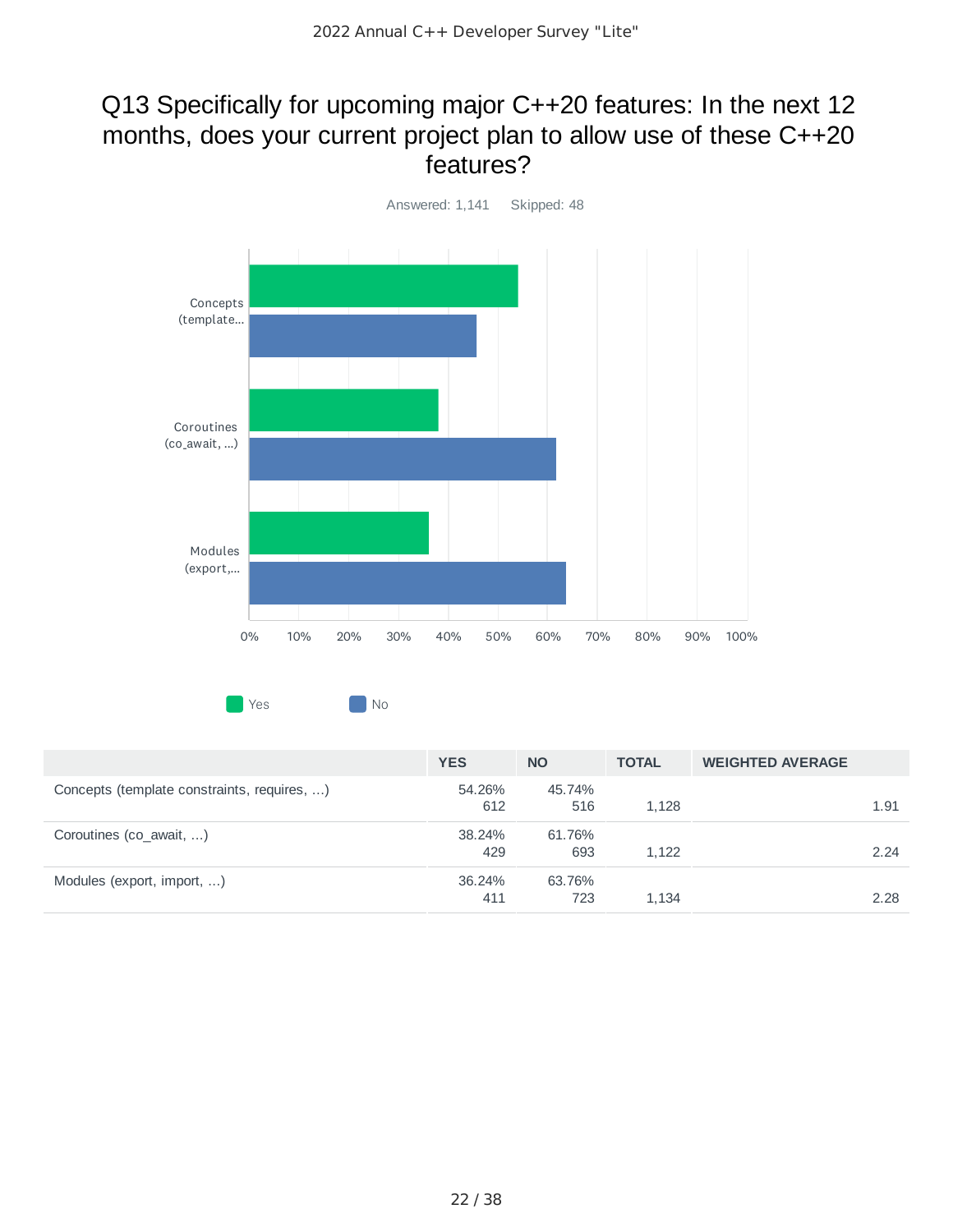### Q13 Specifically for upcoming major C++20 features: In the next 12 months, does your current project plan to allow use of these C++20 features?



**No. 2** No. 2 No. 2 No. 2 No. 2 No. 2 No. 2 No. 2 No. 2 No. 2 No. 2 No. 2 No. 2 No. 2 No. 2 No. 2 No. 2 No. 2 No. 2 No. 2 No. 2 No. 2 No. 2 No. 2 No. 2 No. 2 No. 2 No. 2 No. 2 No. 2 No. 2 No. 2 No. 2 No. 2 No. 2 No. 2 No.

|                                             | <b>YES</b>    | <b>NO</b>     | <b>TOTAL</b> | <b>WEIGHTED AVERAGE</b> |      |
|---------------------------------------------|---------------|---------------|--------------|-------------------------|------|
| Concepts (template constraints, requires, ) | 54.26%<br>612 | 45.74%<br>516 | 1.128        |                         | 1.91 |
| Coroutines (co_await, )                     | 38.24%<br>429 | 61.76%<br>693 | 1.122        |                         | 2.24 |
| Modules (export, import, )                  | 36.24%<br>411 | 63.76%<br>723 | 1.134        |                         | 2.28 |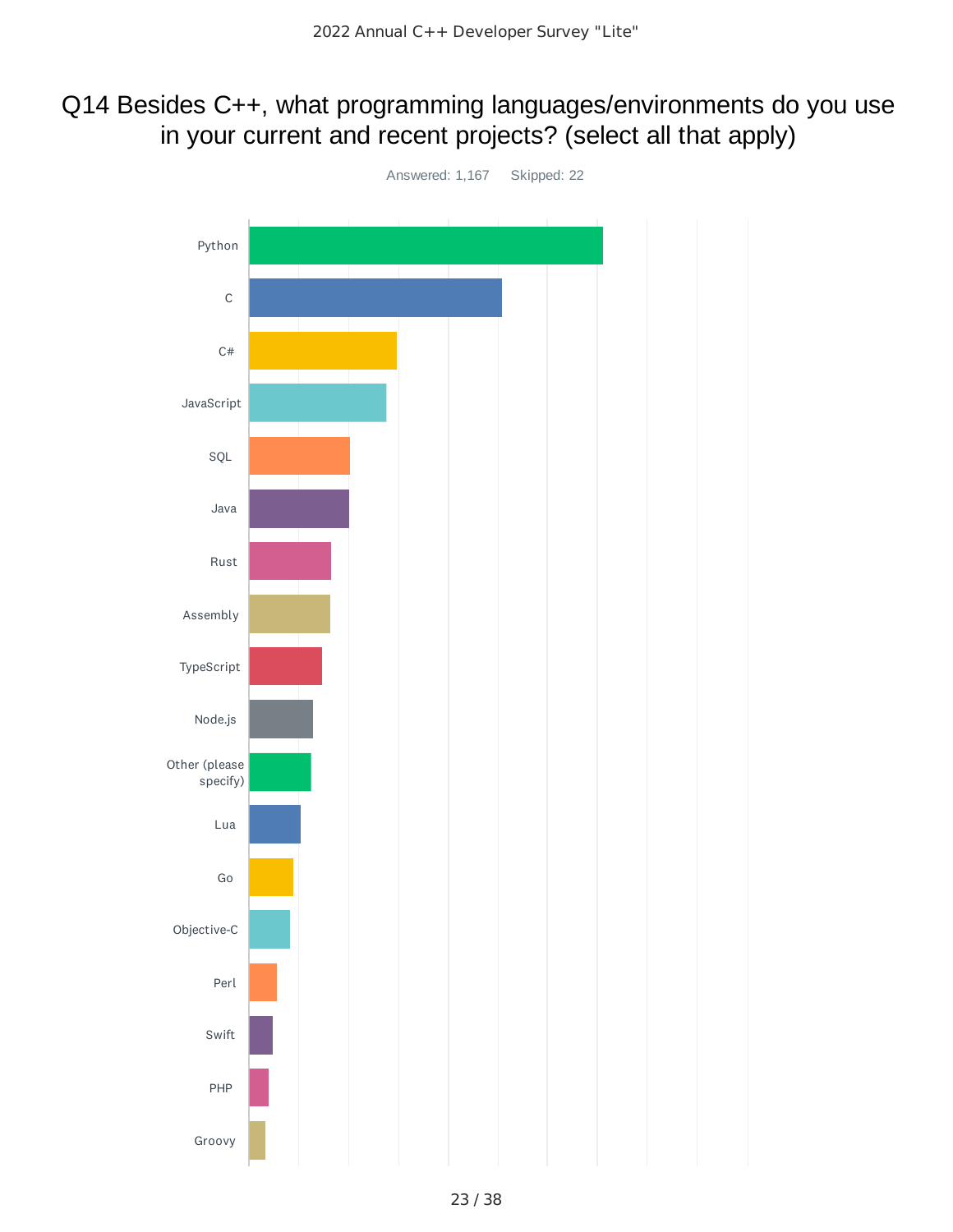### Q14 Besides C++, what programming languages/environments do you use in your current and recent projects? (select all that apply)

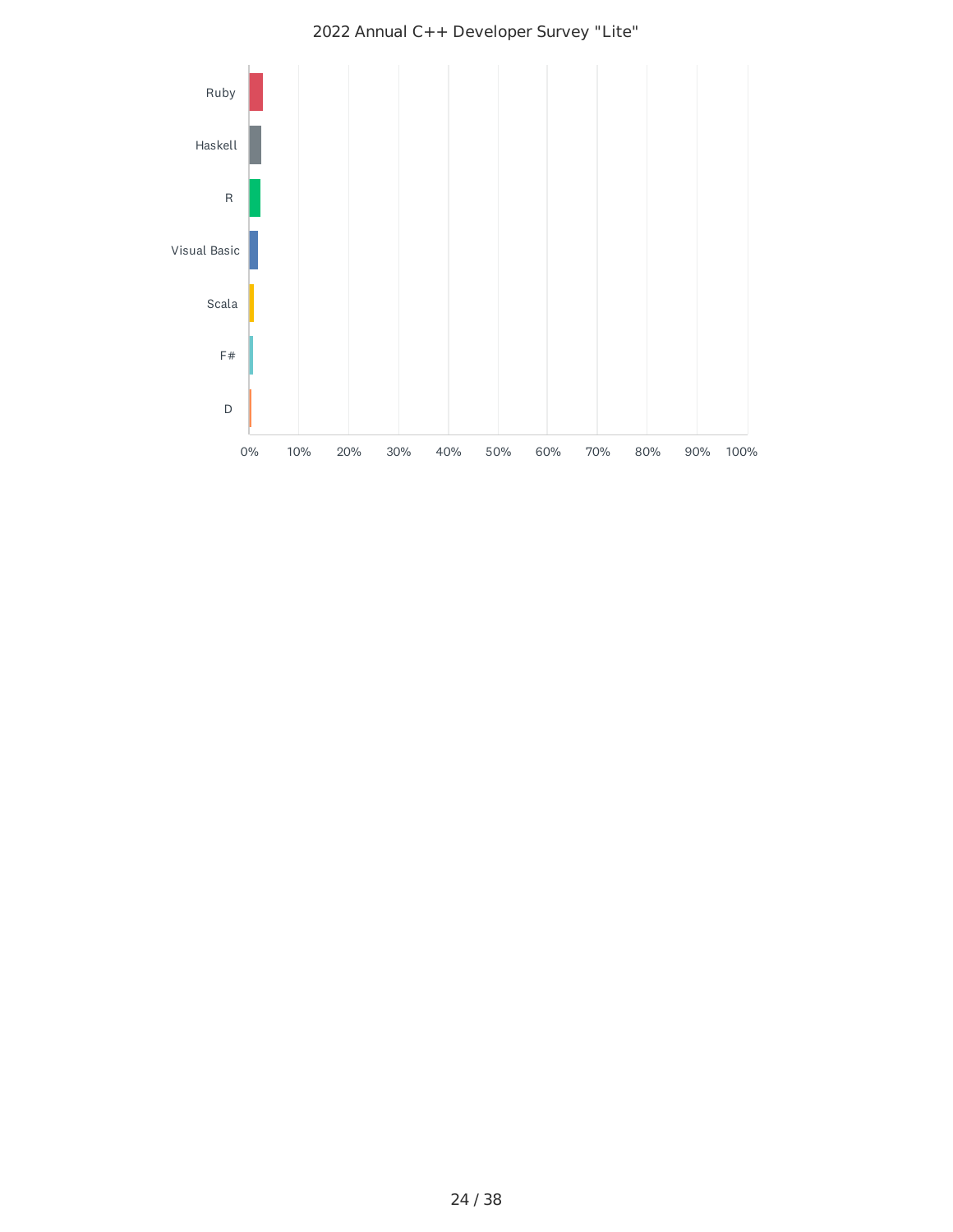

2022 Annual C++ Developer Survey "Lite"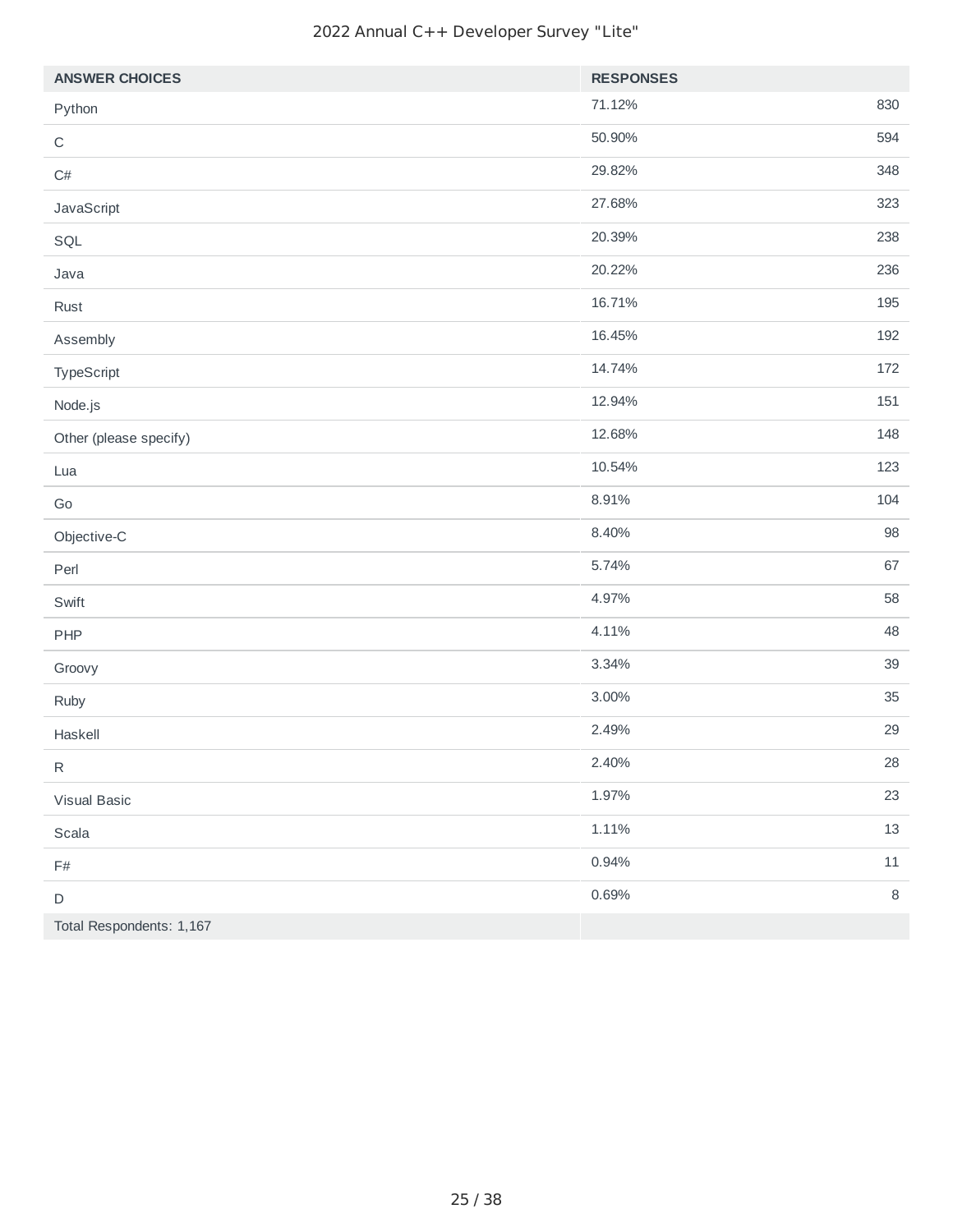| <b>ANSWER CHOICES</b>    | <b>RESPONSES</b> |         |
|--------------------------|------------------|---------|
| Python                   | 71.12%           | 830     |
| $\mathsf C$              | 50.90%           | 594     |
| $\mathsf{C}\#$           | 29.82%           | 348     |
| JavaScript               | 27.68%           | 323     |
| SQL                      | 20.39%           | 238     |
| Java                     | 20.22%           | 236     |
| Rust                     | 16.71%           | 195     |
| Assembly                 | 16.45%           | 192     |
| TypeScript               | 14.74%           | 172     |
| Node.js                  | 12.94%           | 151     |
| Other (please specify)   | 12.68%           | 148     |
| Lua                      | 10.54%           | 123     |
| $\mathsf{Go}$            | 8.91%            | 104     |
| Objective-C              | 8.40%            | 98      |
| Perl                     | 5.74%            | 67      |
| Swift                    | 4.97%            | 58      |
| PHP                      | 4.11%            | 48      |
| Groovy                   | 3.34%            | 39      |
| Ruby                     | 3.00%            | 35      |
| Haskell                  | 2.49%            | 29      |
| ${\sf R}$                | 2.40%            | 28      |
| Visual Basic             | 1.97%            | 23      |
| Scala                    | 1.11%            | 13      |
| $\mathsf{F}\#$           | 0.94%            | $11\,$  |
| $\mathsf D$              | 0.69%            | $\,8\,$ |
| Total Respondents: 1,167 |                  |         |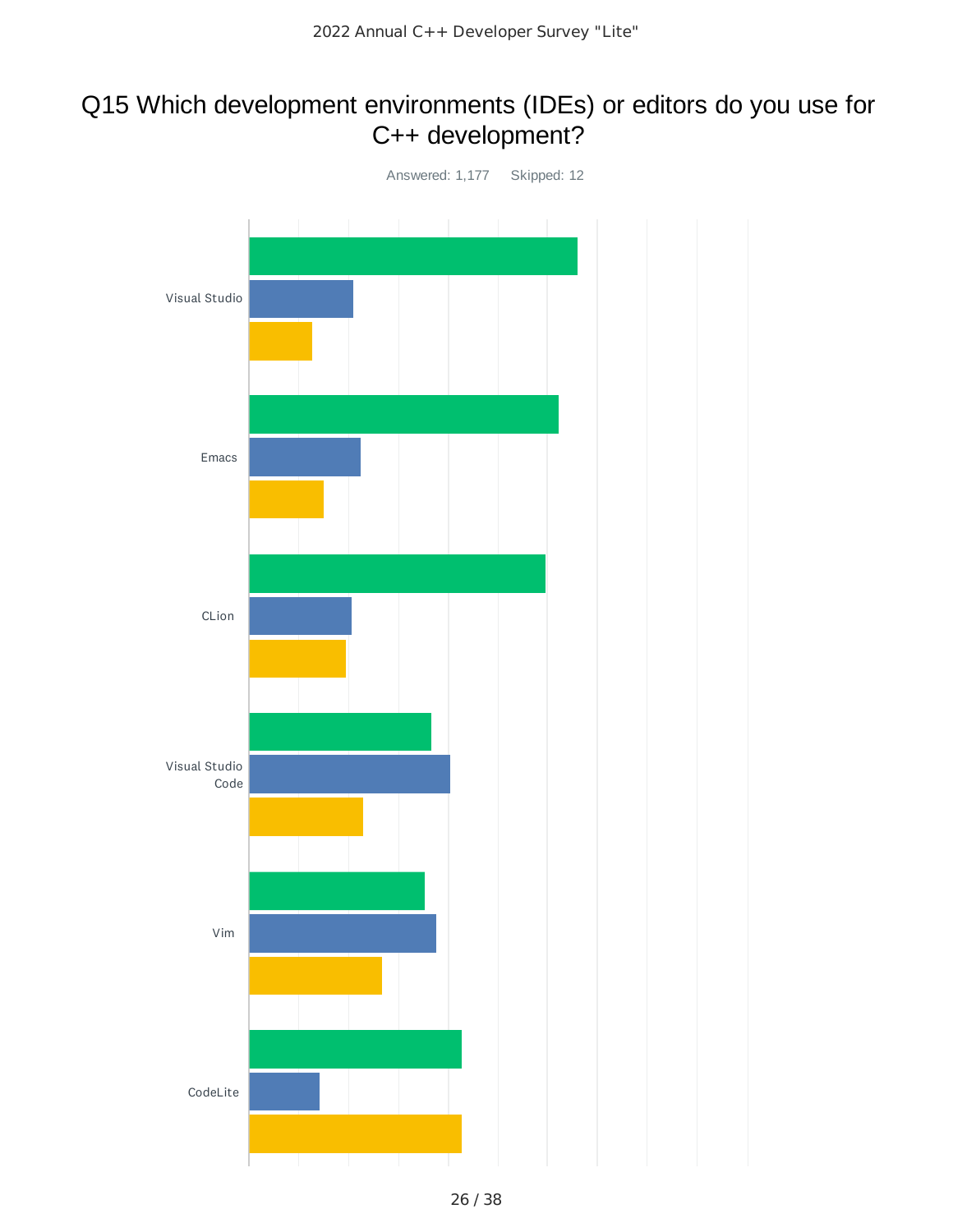### Q15 Which development environments (IDEs) or editors do you use for C++ development?

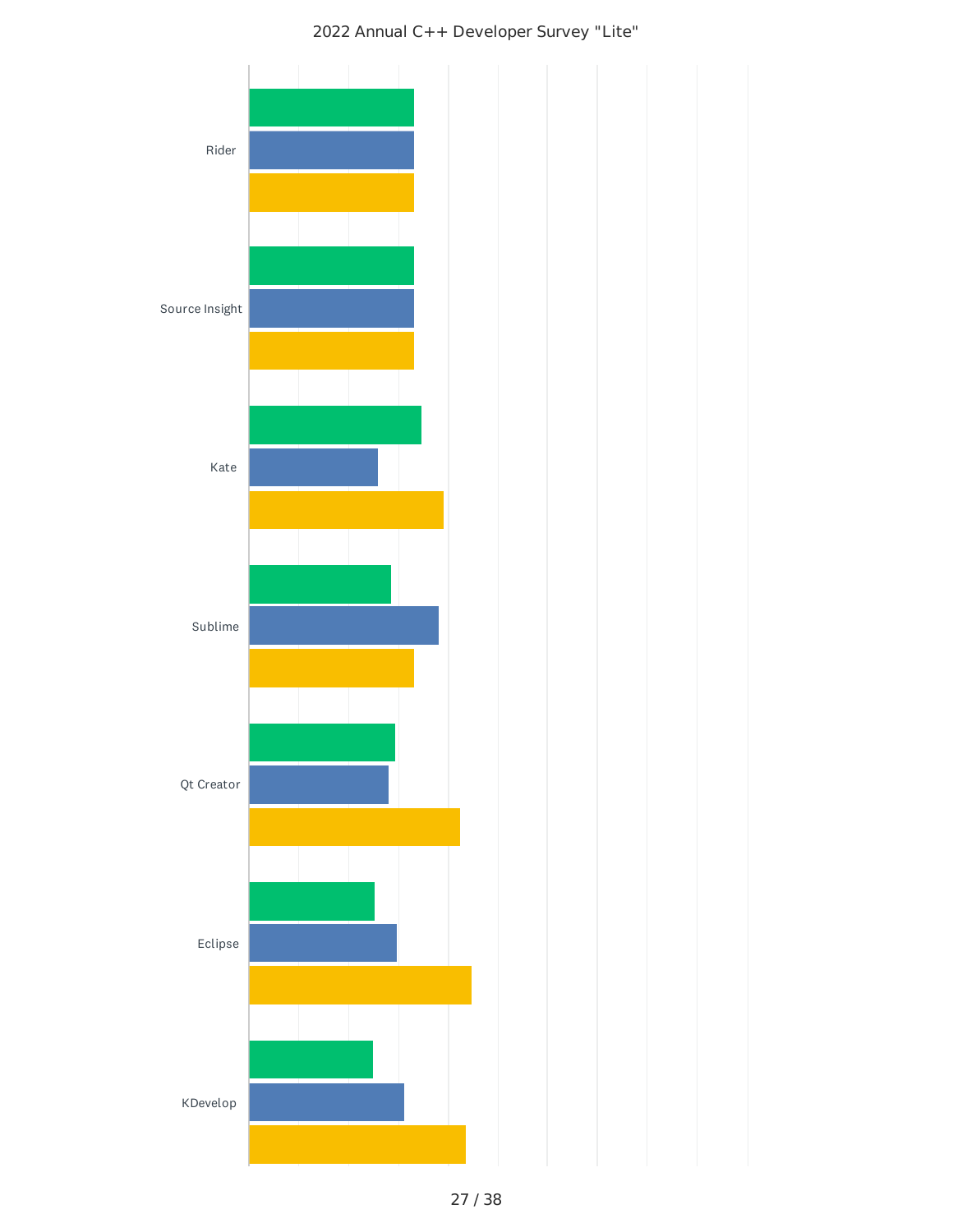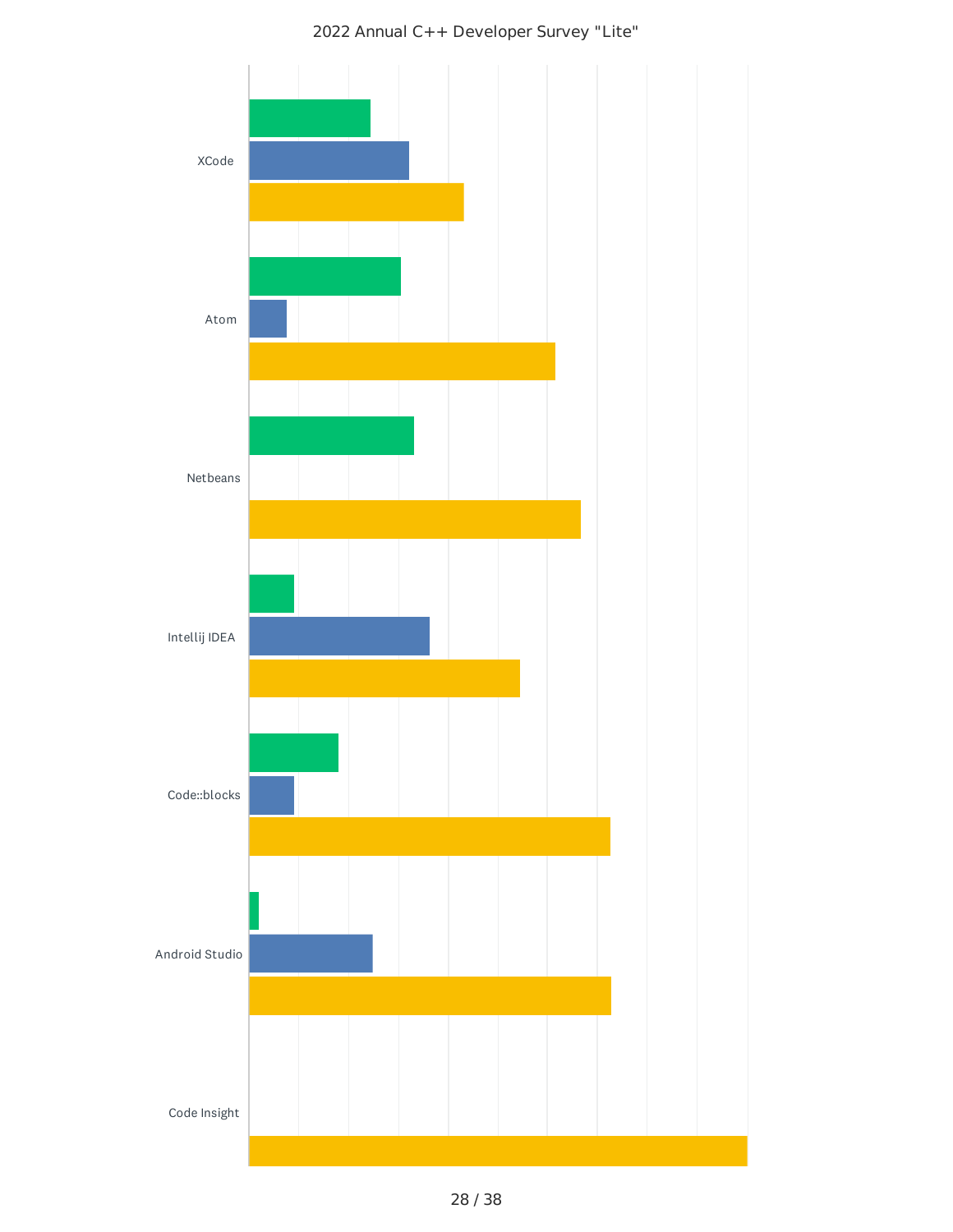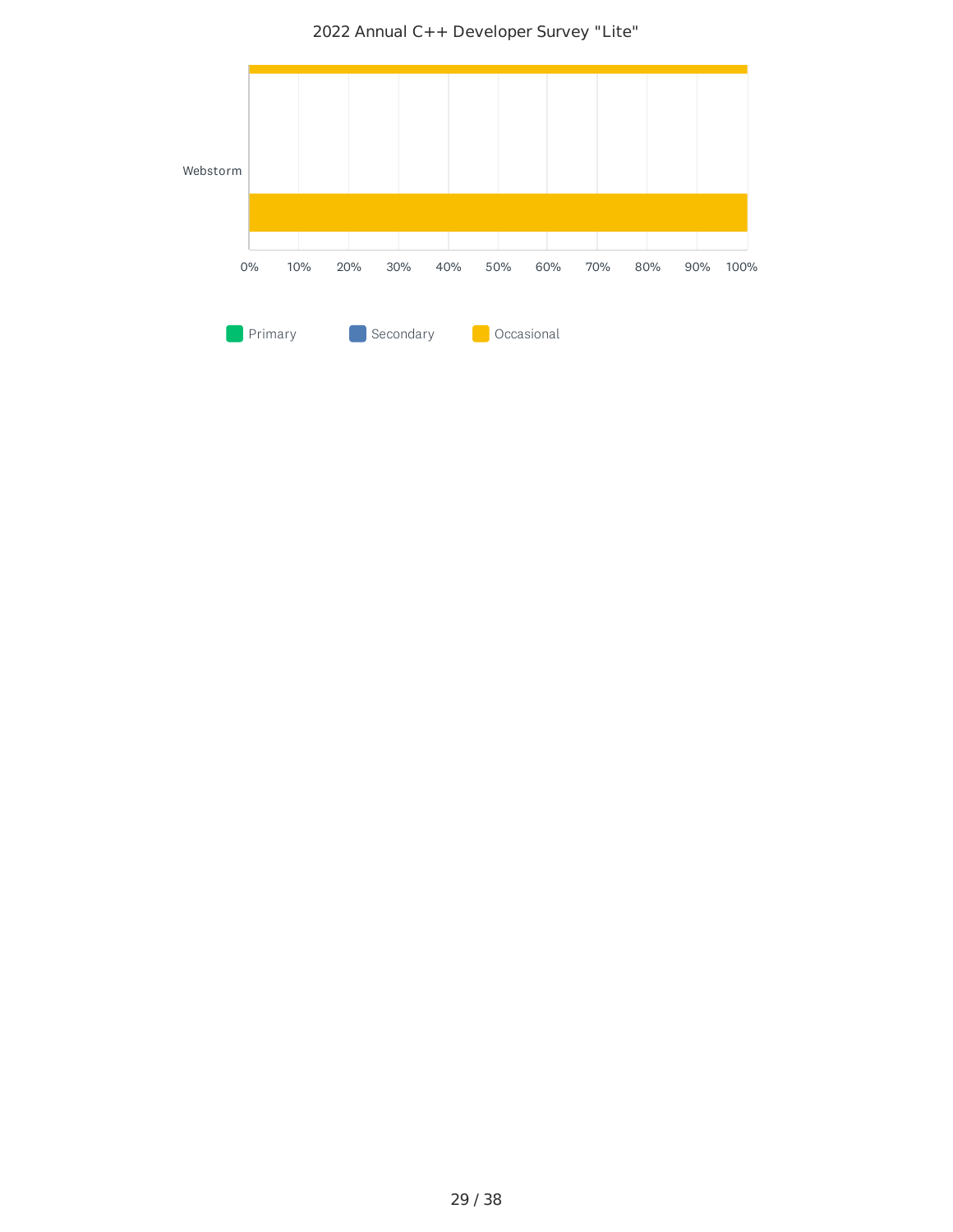2022 Annual C++ Developer Survey "Lite"

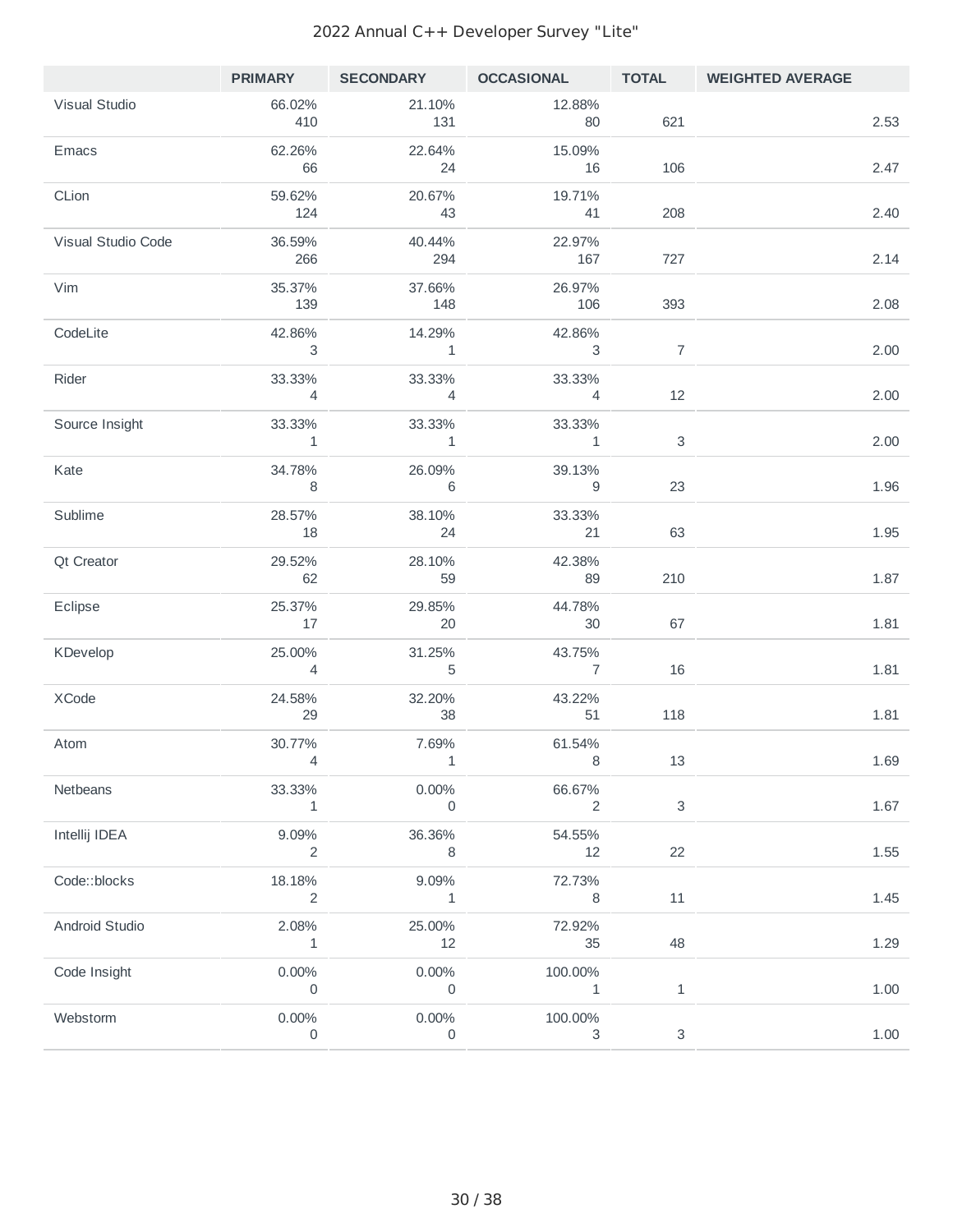|                    |                                    |                                    |                                   |                | PRIMARY SECONDARY OCCASIONAL TOTAL WEIGHTED AVERAGE |          |
|--------------------|------------------------------------|------------------------------------|-----------------------------------|----------------|-----------------------------------------------------|----------|
| Visual Studio      | 66.02%<br>410                      | 21.10%<br>131                      | 12.88%<br>80                      | 621            |                                                     | 2.53     |
| <b>Emacs</b>       | 62.26%<br>66                       | 22.64%<br>24                       | 15.09%<br>16                      | 106            |                                                     | 2.47     |
| CLion              | 59.62%<br>124                      | 20.67%<br>43                       | 19.71%<br>41                      | 208            |                                                     | 2.40     |
| Visual Studio Code | 36.59%<br>266                      | 40.44%<br>294                      | 22.97%<br>167                     | 727            |                                                     | 2.14     |
| Vim                | 35.37%<br>139                      | 37.66%<br>148                      | 26.97%<br>106                     | 393            |                                                     | 2.08     |
| CodeLite           | 42.86%<br>3                        | 14.29%<br>$\overline{1}$           | 42.86%<br>$\overline{\mathbf{3}}$ | $\overline{7}$ |                                                     | 2.00     |
| Rider              | 33.33%<br>$\overline{4}$           | 33.33%<br>$\overline{4}$           | 33.33%<br>$\overline{4}$          | 12             |                                                     | 2.00     |
| Source Insight     | 33.33%<br>$\overline{\phantom{a}}$ | 33.33%<br>$\overline{\phantom{a}}$ | 33.33%<br>$\overline{\mathbf{1}}$ | 3              |                                                     | 2.00     |
| Kate               | 34.78%<br>8 <sup>8</sup>           | 26.09%<br>$6\overline{6}$          | 39.13%<br>$\overline{9}$          | 23             |                                                     | 1.96     |
| Sublime            | 28.57%<br>18                       | 38.10%<br>24                       | 33.33%<br>21                      | 63             |                                                     | 1.95     |
| Qt Creator         | 29.52%<br>62                       | 28.10%<br>59                       | 42.38%<br>89                      | 210            |                                                     | 1.87     |
| Eclipse            | 25.37%<br>17                       | 29.85%<br>20                       | 44.78%<br>30                      | 67             |                                                     | 1.81     |
| KDevelop           | 25.00%<br>$\overline{4}$           | 31.25%<br>5                        | 43.75%<br>$\overline{7}$          | 16             |                                                     | 1.81     |
| XCode              | 24.58%<br>29                       | 32.20%<br>38                       | 43.22%<br>51                      | 118            |                                                     | 1.81     |
| Atom               | 30.77%<br>$\overline{4}$           | 7.69%<br>$\sim$ 1                  | 61.54%<br>- 8                     | 13             |                                                     | 1.69     |
| Netbeans           | 33.33%<br>1                        | 0.00%<br>$\mathsf{O}$              | 66.67%<br>$\overline{2}$          | 3              |                                                     | 1.67     |
| Intellij IDEA      | 9.09%<br>2                         | 36.36%                             | 54.55%<br>12                      | 22             |                                                     | $1.55\,$ |
| Code::blocks       | 18.18%<br>2                        | 9.09%<br>$\mathbf{1}$              | 72.73%<br>8                       | 11             |                                                     | 1.45     |
| Android Studio     | 2.08%<br>$\overline{1}$            | 25.00%<br>12                       | 72.92%<br>35                      | 48             |                                                     | 1.29     |
| Code Insight       | $0.00\%$<br>0                      | $0.00\%$<br>$\overline{0}$         | 100.00%<br>$\mathbf{1}$           | $\mathbf{1}$   |                                                     | 1.00     |
| Webstorm           | $0.00\%$<br>0                      | 0.00%<br>$\mathsf{O}$              | 100.00%<br>3                      | 3              |                                                     | $1.00\,$ |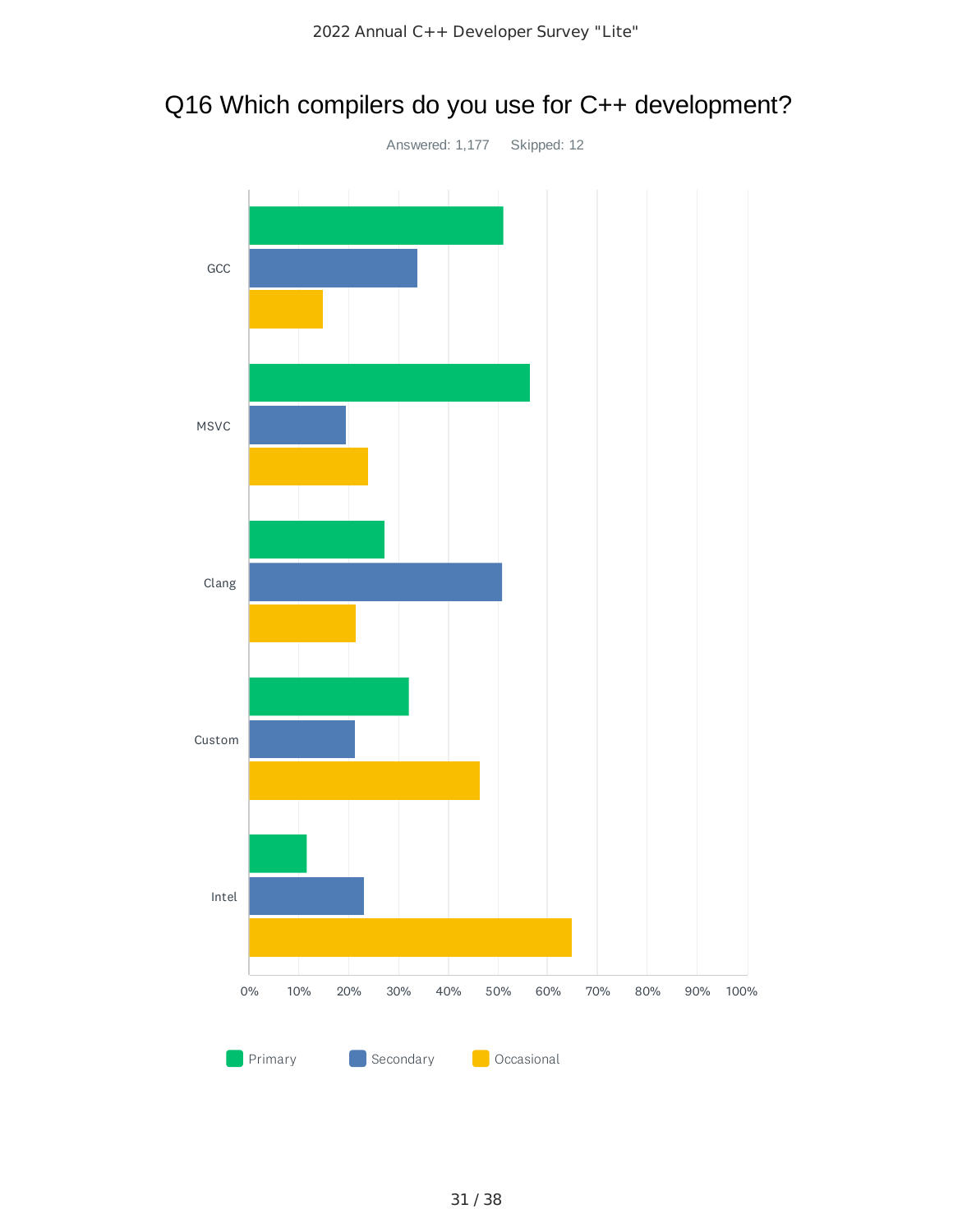

# Q16 Which compilers do you use for C++ development?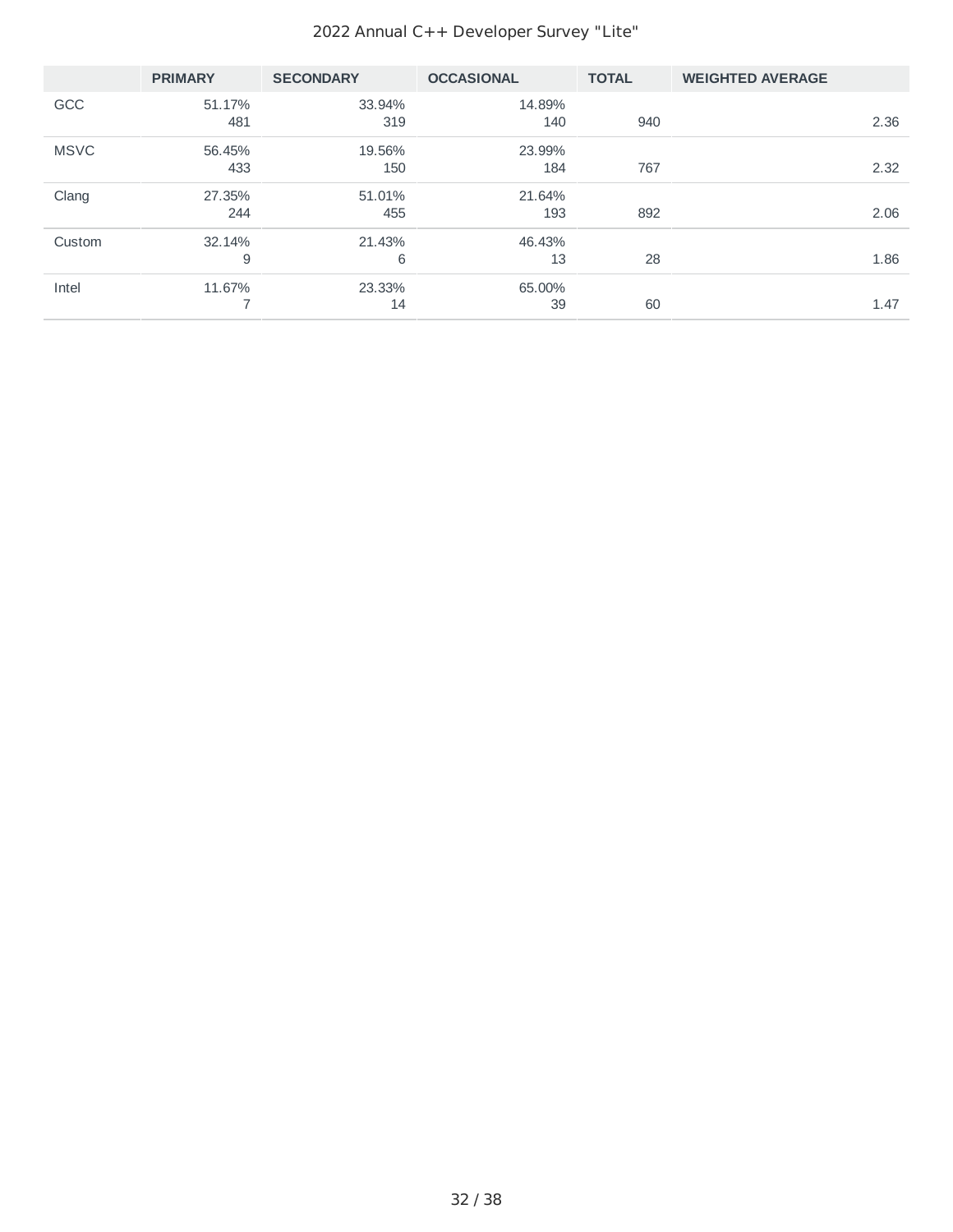|             | <b>PRIMARY</b> | <b>SECONDARY</b> | <b>OCCASIONAL</b> | <b>TOTAL</b> | <b>WEIGHTED AVERAGE</b> |
|-------------|----------------|------------------|-------------------|--------------|-------------------------|
| <b>GCC</b>  | 51.17%<br>481  | 33.94%<br>319    | 14.89%<br>140     | 940          | 2.36                    |
| <b>MSVC</b> | 56.45%<br>433  | 19.56%<br>150    | 23.99%<br>184     | 767          | 2.32                    |
| Clang       | 27.35%<br>244  | 51.01%<br>455    | 21.64%<br>193     | 892          | 2.06                    |
| Custom      | 32.14%<br>9    | 21.43%<br>6      | 46.43%<br>13      | 28           | 1.86                    |
| Intel       | 11.67%         | 23.33%<br>14     | 65.00%<br>39      | 60           | 1.47                    |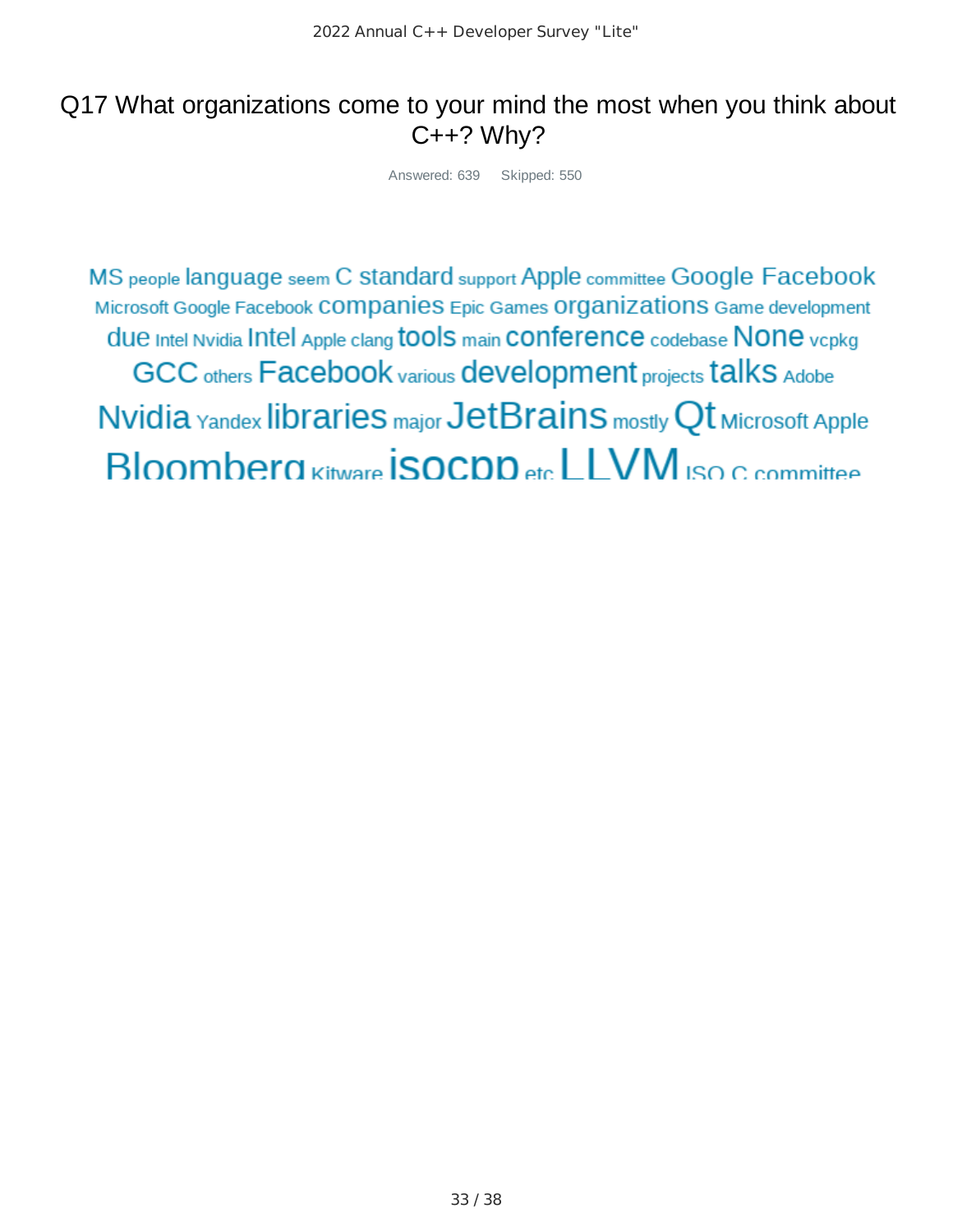# Q17 What organizations come to your mind the most when you think about  $C++?$  Why?

Answered: 639 Skipped: 550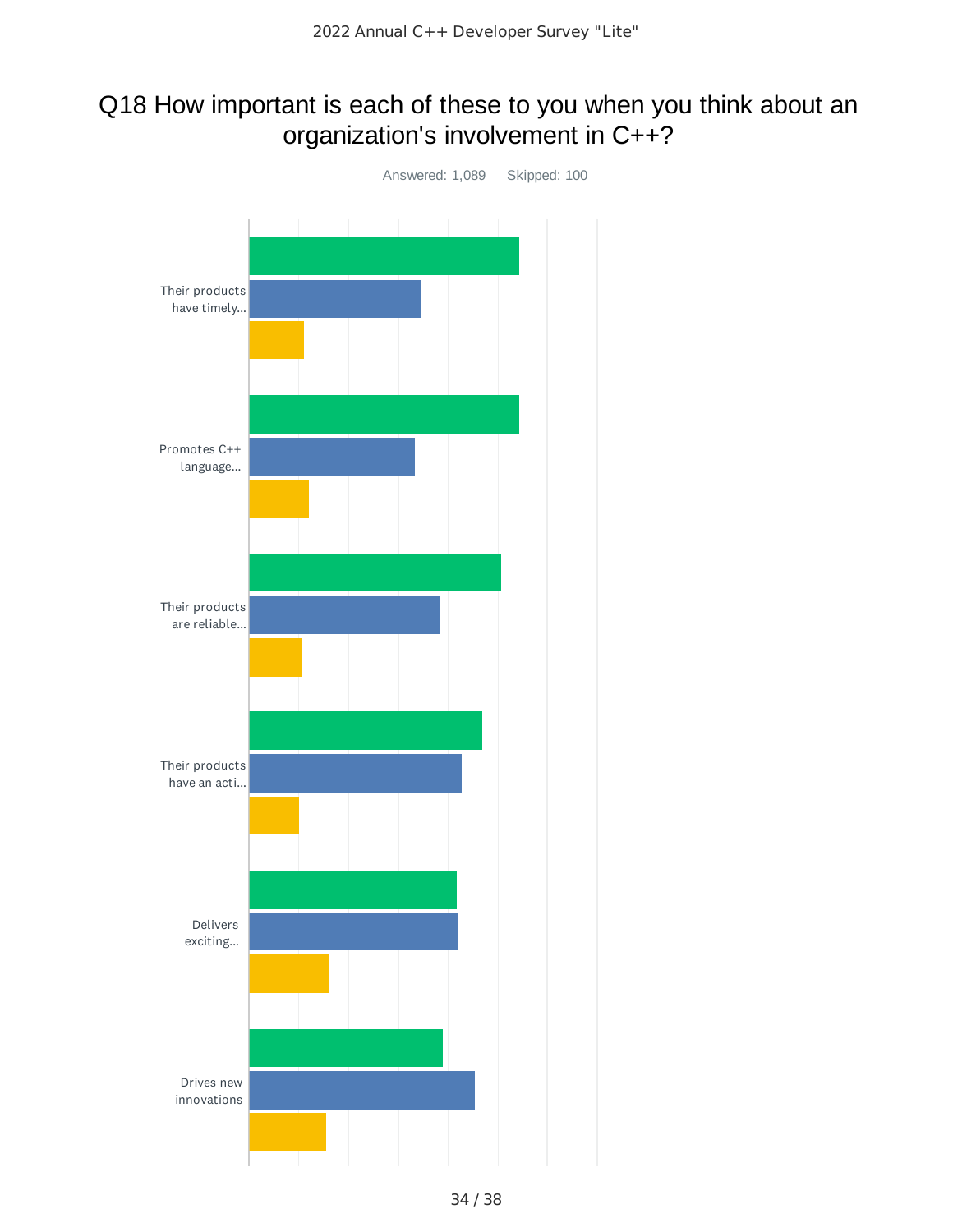# Q18 How important is each of these to you when you think about an organization's involvement in C++?

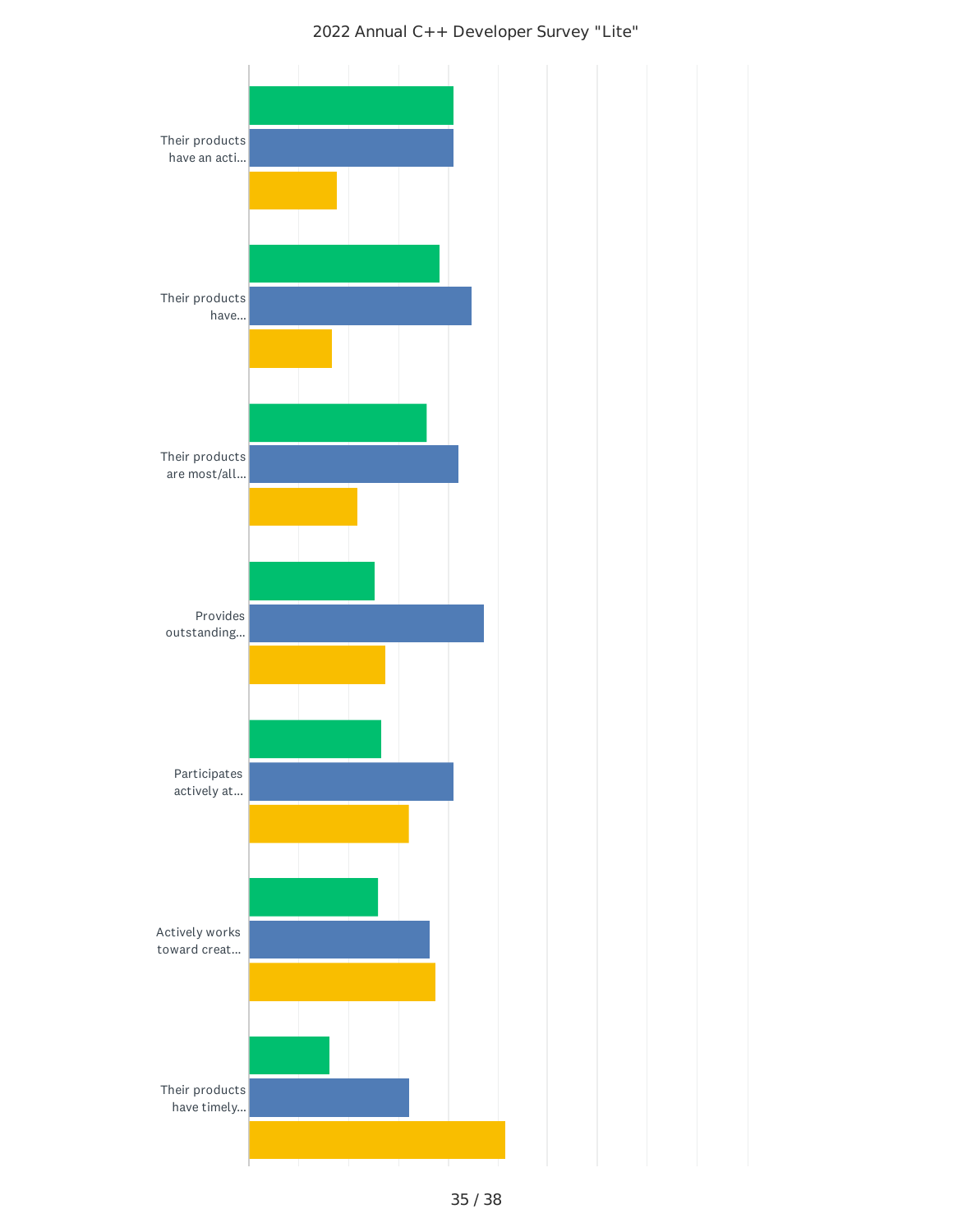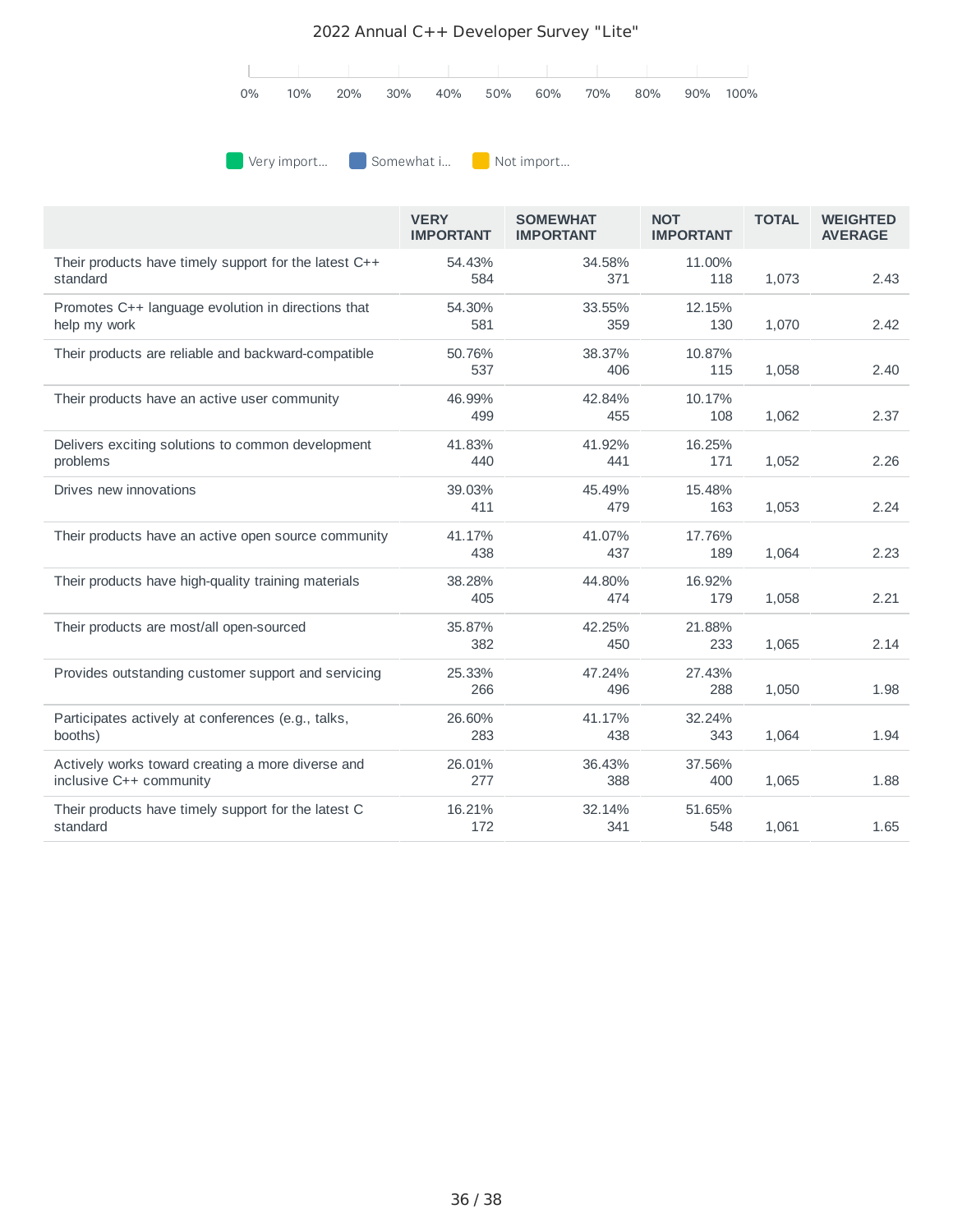

**Very import...** Somewhat i... Not import...

|                                                                              | <b>VERY</b><br><b>IMPORTANT</b> | <b>SOMEWHAT</b><br><b>IMPORTANT</b> | <b>NOT</b><br><b>IMPORTANT</b> | <b>TOTAL</b> | <b>WEIGHTED</b><br><b>AVERAGE</b> |
|------------------------------------------------------------------------------|---------------------------------|-------------------------------------|--------------------------------|--------------|-----------------------------------|
| Their products have timely support for the latest C++<br>standard            | 54.43%<br>584                   | 34.58%<br>371                       | 11.00%<br>118                  | 1,073        | 2.43                              |
| Promotes C++ language evolution in directions that<br>help my work           | 54.30%<br>581                   | 33.55%<br>359                       | 12.15%<br>130                  | 1,070        | 2.42                              |
| Their products are reliable and backward-compatible                          | 50.76%<br>537                   | 38.37%<br>406                       | 10.87%<br>115                  | 1,058        | 2.40                              |
| Their products have an active user community                                 | 46.99%<br>499                   | 42.84%<br>455                       | 10.17%<br>108                  | 1,062        | 2.37                              |
| Delivers exciting solutions to common development<br>problems                | 41.83%<br>440                   | 41.92%<br>441                       | 16.25%<br>171                  | 1,052        | 2.26                              |
| Drives new innovations                                                       | 39.03%<br>411                   | 45.49%<br>479                       | 15.48%<br>163                  | 1,053        | 2.24                              |
| Their products have an active open source community                          | 41.17%<br>438                   | 41.07%<br>437                       | 17.76%<br>189                  | 1,064        | 2.23                              |
| Their products have high-quality training materials                          | 38.28%<br>405                   | 44.80%<br>474                       | 16.92%<br>179                  | 1,058        | 2.21                              |
| Their products are most/all open-sourced                                     | 35.87%<br>382                   | 42.25%<br>450                       | 21.88%<br>233                  | 1,065        | 2.14                              |
| Provides outstanding customer support and servicing                          | 25.33%<br>266                   | 47.24%<br>496                       | 27.43%<br>288                  | 1,050        | 1.98                              |
| Participates actively at conferences (e.g., talks,<br>booths)                | 26.60%<br>283                   | 41.17%<br>438                       | 32.24%<br>343                  | 1,064        | 1.94                              |
| Actively works toward creating a more diverse and<br>inclusive C++ community | 26.01%<br>277                   | 36.43%<br>388                       | 37.56%<br>400                  | 1,065        | 1.88                              |
| Their products have timely support for the latest C<br>standard              | 16.21%<br>172                   | 32.14%<br>341                       | 51.65%<br>548                  | 1,061        | 1.65                              |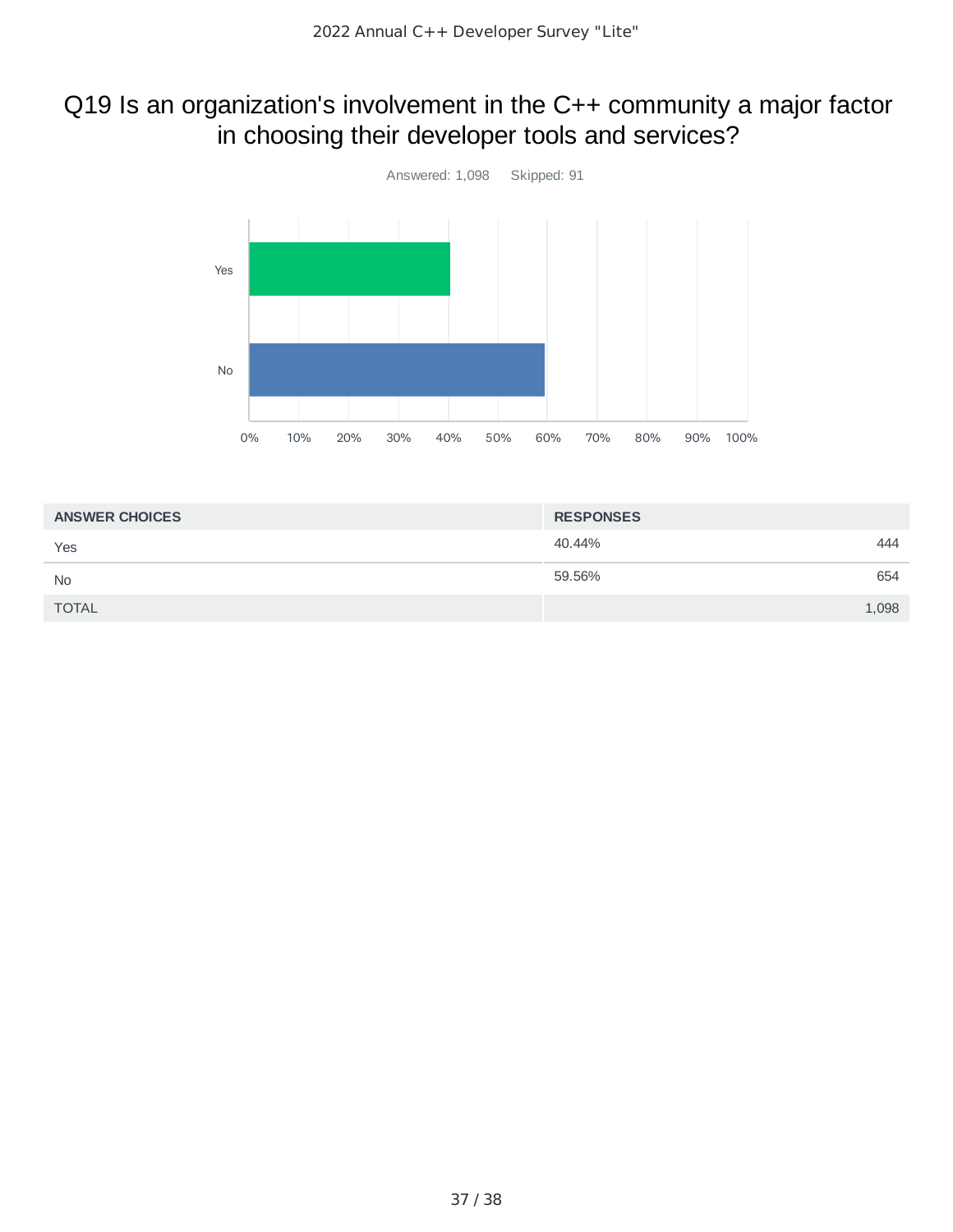### Q19 Is an organization's involvement in the C++ community a major factor in choosing their developer tools and services?



| <b>ANSWER CHOICES</b> | <b>RESPONSES</b> |
|-----------------------|------------------|
| Yes                   | 40.44%<br>444    |
| <b>No</b>             | 59.56%<br>654    |
| <b>TOTAL</b>          | 1,098            |
|                       |                  |